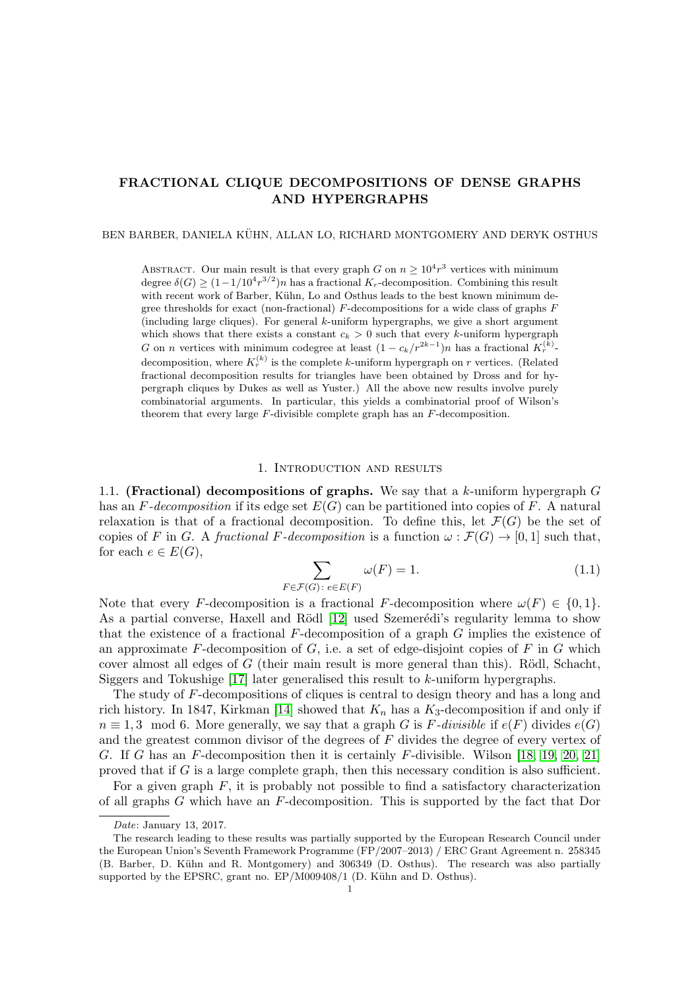## FRACTIONAL CLIQUE DECOMPOSITIONS OF DENSE GRAPHS AND HYPERGRAPHS

BEN BARBER, DANIELA KÜHN, ALLAN LO, RICHARD MONTGOMERY AND DERYK OSTHUS

ABSTRACT. Our main result is that every graph G on  $n \geq 10^4 r^3$  vertices with minimum degree  $\delta(G) \ge (1 - 1/10^4 r^{3/2})n$  has a fractional K<sub>r</sub>-decomposition. Combining this result with recent work of Barber, Kühn, Lo and Osthus leads to the best known minimum degree thresholds for exact (non-fractional)  $F$ -decompositions for a wide class of graphs  $F$ (including large cliques). For general k-uniform hypergraphs, we give a short argument which shows that there exists a constant  $c_k > 0$  such that every k-uniform hypergraph G on n vertices with minimum codegree at least  $(1 - c_k/r^{2k-1})n$  has a fractional  $K_r^{(k)}$ . decomposition, where  $K_r^{(k)}$  is the complete k-uniform hypergraph on r vertices. (Related fractional decomposition results for triangles have been obtained by Dross and for hypergraph cliques by Dukes as well as Yuster.) All the above new results involve purely combinatorial arguments. In particular, this yields a combinatorial proof of Wilson's theorem that every large F-divisible complete graph has an F-decomposition.

## 1. Introduction and results

1.1. (Fractional) decompositions of graphs. We say that a k-uniform hypergraph  $G$ has an F-decomposition if its edge set  $E(G)$  can be partitioned into copies of F. A natural relaxation is that of a fractional decomposition. To define this, let  $\mathcal{F}(G)$  be the set of copies of F in G. A fractional F-decomposition is a function  $\omega : \mathcal{F}(G) \to [0,1]$  such that, for each  $e \in E(G)$ ,

$$
\sum_{F \in \mathcal{F}(G) : e \in E(F)} \omega(F) = 1.
$$
\n(1.1)

Note that every F-decomposition is a fractional F-decomposition where  $\omega(F) \in \{0, 1\}$ . As a partial converse, Haxell and Rödl [\[12\]](#page-29-0) used Szemerédi's regularity lemma to show that the existence of a fractional  $F$ -decomposition of a graph  $G$  implies the existence of an approximate  $F$ -decomposition of  $G$ , i.e. a set of edge-disjoint copies of  $F$  in  $G$  which cover almost all edges of  $G$  (their main result is more general than this). Rödl, Schacht, Siggers and Tokushige  $[17]$  later generalised this result to k-uniform hypergraphs.

The study of F-decompositions of cliques is central to design theory and has a long and rich history. In 1847, Kirkman [\[14\]](#page-29-2) showed that  $K_n$  has a  $K_3$ -decomposition if and only if  $n \equiv 1, 3 \mod 6$ . More generally, we say that a graph G is F-divisible if  $e(F)$  divides  $e(G)$ and the greatest common divisor of the degrees of F divides the degree of every vertex of G. If G has an F-decomposition then it is certainly F-divisible. Wilson [\[18,](#page-29-3) [19,](#page-29-4) [20,](#page-29-5) [21\]](#page-29-6) proved that if  $G$  is a large complete graph, then this necessary condition is also sufficient.

For a given graph  $F$ , it is probably not possible to find a satisfactory characterization of all graphs G which have an F-decomposition. This is supported by the fact that Dor

Date: January 13, 2017.

The research leading to these results was partially supported by the European Research Council under the European Union's Seventh Framework Programme (FP/2007–2013) / ERC Grant Agreement n. 258345 (B. Barber, D. Kühn and R. Montgomery) and 306349 (D. Osthus). The research was also partially supported by the EPSRC, grant no.  $EP/M009408/1$  (D. Kühn and D. Osthus).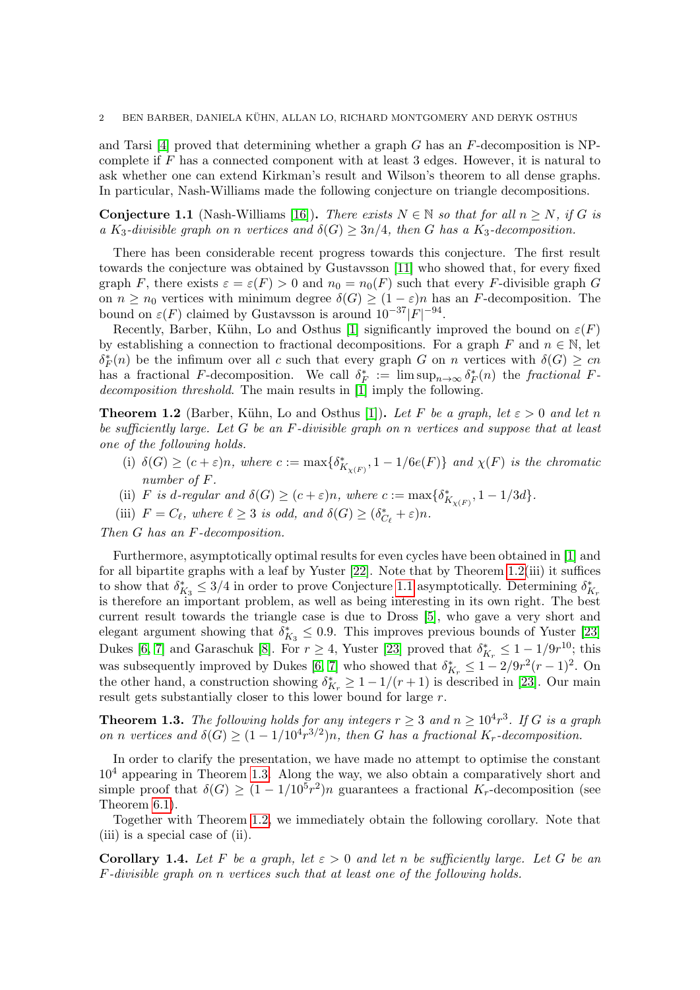and Tarsi  $[4]$  proved that determining whether a graph G has an F-decomposition is NPcomplete if F has a connected component with at least 3 edges. However, it is natural to ask whether one can extend Kirkman's result and Wilson's theorem to all dense graphs. In particular, Nash-Williams made the following conjecture on triangle decompositions.

<span id="page-1-1"></span>**Conjecture 1.1** (Nash-Williams [\[16\]](#page-29-7)). There exists  $N \in \mathbb{N}$  so that for all  $n > N$ , if G is a K<sub>3</sub>-divisible graph on n vertices and  $\delta(G) \geq 3n/4$ , then G has a K<sub>3</sub>-decomposition.

There has been considerable recent progress towards this conjecture. The first result towards the conjecture was obtained by Gustavsson [\[11\]](#page-28-1) who showed that, for every fixed graph F, there exists  $\varepsilon = \varepsilon(F) > 0$  and  $n_0 = n_0(F)$  such that every F-divisible graph G on  $n \geq n_0$  vertices with minimum degree  $\delta(G) \geq (1 - \varepsilon)n$  has an F-decomposition. The bound on  $\varepsilon(F)$  claimed by Gustavsson is around  $10^{-37}|F|^{-94}$ .

Recently, Barber, Kühn, Lo and Osthus [\[1\]](#page-28-2) significantly improved the bound on  $\varepsilon(F)$ by establishing a connection to fractional decompositions. For a graph F and  $n \in \mathbb{N}$ , let  $\delta_F^*(n)$  be the infimum over all c such that every graph G on n vertices with  $\delta(G) \geq cn$ has a fractional F-decomposition. We call  $\delta_F^* := \limsup_{n \to \infty} \delta_F^*(n)$  the fractional F-decomposition threshold. The main results in [\[1\]](#page-28-2) imply the following.

<span id="page-1-0"></span>**Theorem 1.2** (Barber, Kühn, Lo and Osthus [\[1\]](#page-28-2)). Let F be a graph, let  $\varepsilon > 0$  and let n be sufficiently large. Let G be an F-divisible graph on n vertices and suppose that at least one of the following holds.

- (i)  $\delta(G) \ge (c + \varepsilon)n$ , where  $c := \max\{\delta^*_{K_{\chi(F)}}, 1 1/6e(F)\}\$  and  $\chi(F)$  is the chromatic number of F.
- (ii) F is d-regular and  $\delta(G) \ge (c + \varepsilon)n$ , where  $c := \max\{\delta^*_{K_{\chi(F)}}, 1 1/3d\}.$
- (iii)  $F = C_{\ell}$ , where  $\ell \geq 3$  is odd, and  $\delta(G) \geq (\delta_{C_{\ell}}^* + \varepsilon)n$ .

Then G has an F-decomposition.

Furthermore, asymptotically optimal results for even cycles have been obtained in [\[1\]](#page-28-2) and for all bipartite graphs with a leaf by Yuster [\[22\]](#page-29-8). Note that by Theorem [1.2\(](#page-1-0)iii) it suffices to show that  $\delta_{K_3}^* \leq 3/4$  in order to prove Conjecture [1.1](#page-1-1) asymptotically. Determining  $\delta_{K_7}^*$ is therefore an important problem, as well as being interesting in its own right. The best current result towards the triangle case is due to Dross [\[5\]](#page-28-3), who gave a very short and elegant argument showing that  $\delta_{K_3}^* \leq 0.9$ . This improves previous bounds of Yuster [\[23\]](#page-29-9) Dukes [\[6,](#page-28-4) [7\]](#page-28-5) and Garaschuk [\[8\]](#page-28-6). For  $r \geq 4$ , Yuster [\[23\]](#page-29-9) proved that  $\delta_{K_r}^* \leq 1 - 1/9r^{10}$ ; this was subsequently improved by Dukes [\[6,](#page-28-4) [7\]](#page-28-5) who showed that  $\delta_{K_r}^* \leq 1 - 2/9r^2(r-1)^2$ . On the other hand, a construction showing  $\delta_{K_r}^* \geq 1 - 1/(r+1)$  is described in [\[23\]](#page-29-9). Our main result gets substantially closer to this lower bound for large r.

<span id="page-1-2"></span>**Theorem 1.3.** The following holds for any integers  $r \geq 3$  and  $n \geq 10^4 r^3$ . If G is a graph on n vertices and  $\delta(G) \geq (1 - 1/10^4 r^{3/2})n$ , then G has a fractional K<sub>r</sub>-decomposition.

In order to clarify the presentation, we have made no attempt to optimise the constant  $10<sup>4</sup>$  appearing in Theorem [1.3.](#page-1-2) Along the way, we also obtain a comparatively short and simple proof that  $\delta(G) \geq (1 - 1/10^5 r^2)n$  guarantees a fractional K<sub>r</sub>-decomposition (see Theorem [6.1\)](#page-15-0).

Together with Theorem [1.2,](#page-1-0) we immediately obtain the following corollary. Note that (iii) is a special case of (ii).

<span id="page-1-3"></span>Corollary 1.4. Let F be a graph, let  $\varepsilon > 0$  and let n be sufficiently large. Let G be an F-divisible graph on n vertices such that at least one of the following holds.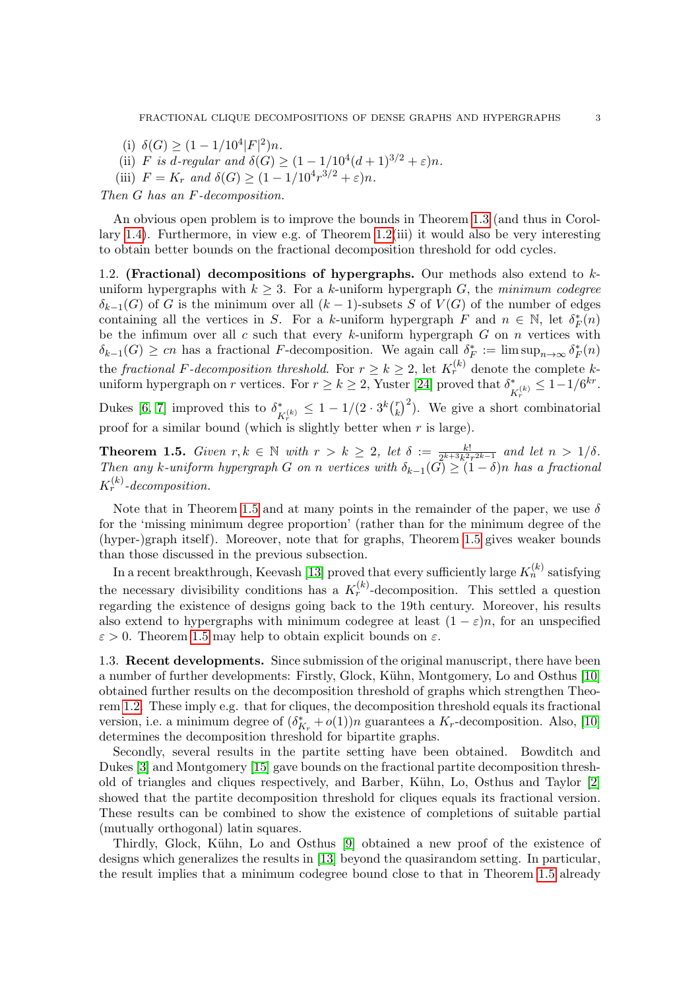- (i)  $\delta(G) \ge (1 1/10^4 |F|^2)n$ .
- (ii) F is d-regular and  $\delta(G) \geq (1 1/10^4(d+1)^{3/2} + \varepsilon)n$ .
- (iii)  $F = K_r$  and  $\delta(G) \ge (1 1/10^4 r^{3/2} + \varepsilon)n$ .

Then G has an F-decomposition.

An obvious open problem is to improve the bounds in Theorem [1.3](#page-1-2) (and thus in Corollary [1.4\)](#page-1-3). Furthermore, in view e.g. of Theorem [1.2\(](#page-1-0)iii) it would also be very interesting to obtain better bounds on the fractional decomposition threshold for odd cycles.

1.2. (Fractional) decompositions of hypergraphs. Our methods also extend to  $k$ uniform hypergraphs with  $k \geq 3$ . For a k-uniform hypergraph G, the minimum codegree  $\delta_{k-1}(G)$  of G is the minimum over all  $(k-1)$ -subsets S of  $V(G)$  of the number of edges containing all the vertices in S. For a k-uniform hypergraph F and  $n \in \mathbb{N}$ , let  $\delta_F^*(n)$ be the infimum over all  $c$  such that every  $k$ -uniform hypergraph  $G$  on  $n$  vertices with  $\delta_{k-1}(G) \geq cn$  has a fractional F-decomposition. We again call  $\delta_F^* := \limsup_{n \to \infty} \delta_F^*(n)$ the *fractional F-decomposition threshold*. For  $r \ge k \ge 2$ , let  $K_r^{(k)}$  denote the complete kuniform hypergraph on r vertices. For  $r \ge k \ge 2$ , Yuster [\[24\]](#page-29-10) proved that  $\delta^*_{\nu(k)} \le 1 - 1/6^{kr}$ .  $K_r^{\langle}$ Dukes [\[6,](#page-28-4) [7\]](#page-28-5) improved this to  $\delta_r^*$  $\frac{1}{K_r^{(k)}} \leq 1 - 1/(2 \cdot 3^k \binom{r}{k})$  $(k)$ <sup>r</sup> $(k)$ <sup>2</sup>). We give a short combinatorial

proof for a similar bound (which is slightly better when  $r$  is large).

<span id="page-2-0"></span>**Theorem 1.5.** Given  $r, k \in \mathbb{N}$  with  $r > k \geq 2$ , let  $\delta := \frac{k!}{2^{k+3}k^2r^{2k-1}}$  and let  $n > 1/\delta$ . Then any k-uniform hypergraph G on n vertices with  $\delta_{k-1}(G) \geq (1-\delta)n$  has a fractional  $K_r^{(k)}$ -decomposition.

Note that in Theorem [1.5](#page-2-0) and at many points in the remainder of the paper, we use  $\delta$ for the 'missing minimum degree proportion' (rather than for the minimum degree of the (hyper-)graph itself). Moreover, note that for graphs, Theorem [1.5](#page-2-0) gives weaker bounds than those discussed in the previous subsection.

In a recent breakthrough, Keevash [\[13\]](#page-29-11) proved that every sufficiently large  $K_n^{(k)}$  satisfying the necessary divisibility conditions has a  $K_r^{(k)}$ -decomposition. This settled a question regarding the existence of designs going back to the 19th century. Moreover, his results also extend to hypergraphs with minimum codegree at least  $(1 - \varepsilon)n$ , for an unspecified  $\varepsilon > 0$ . Theorem [1.5](#page-2-0) may help to obtain explicit bounds on  $\varepsilon$ .

1.3. Recent developments. Since submission of the original manuscript, there have been a number of further developments: Firstly, Glock, Kühn, Montgomery, Lo and Osthus [\[10\]](#page-28-7) obtained further results on the decomposition threshold of graphs which strengthen Theorem [1.2.](#page-1-0) These imply e.g. that for cliques, the decomposition threshold equals its fractional version, i.e. a minimum degree of  $(\delta_{K_r}^* + o(1))n$  guarantees a  $K_r$ -decomposition. Also, [\[10\]](#page-28-7) determines the decomposition threshold for bipartite graphs.

Secondly, several results in the partite setting have been obtained. Bowditch and Dukes [\[3\]](#page-28-8) and Montgomery [\[15\]](#page-29-12) gave bounds on the fractional partite decomposition threshold of triangles and cliques respectively, and Barber, K¨uhn, Lo, Osthus and Taylor [\[2\]](#page-28-9) showed that the partite decomposition threshold for cliques equals its fractional version. These results can be combined to show the existence of completions of suitable partial (mutually orthogonal) latin squares.

Thirdly, Glock, K¨uhn, Lo and Osthus [\[9\]](#page-28-10) obtained a new proof of the existence of designs which generalizes the results in [\[13\]](#page-29-11) beyond the quasirandom setting. In particular, the result implies that a minimum codegree bound close to that in Theorem [1.5](#page-2-0) already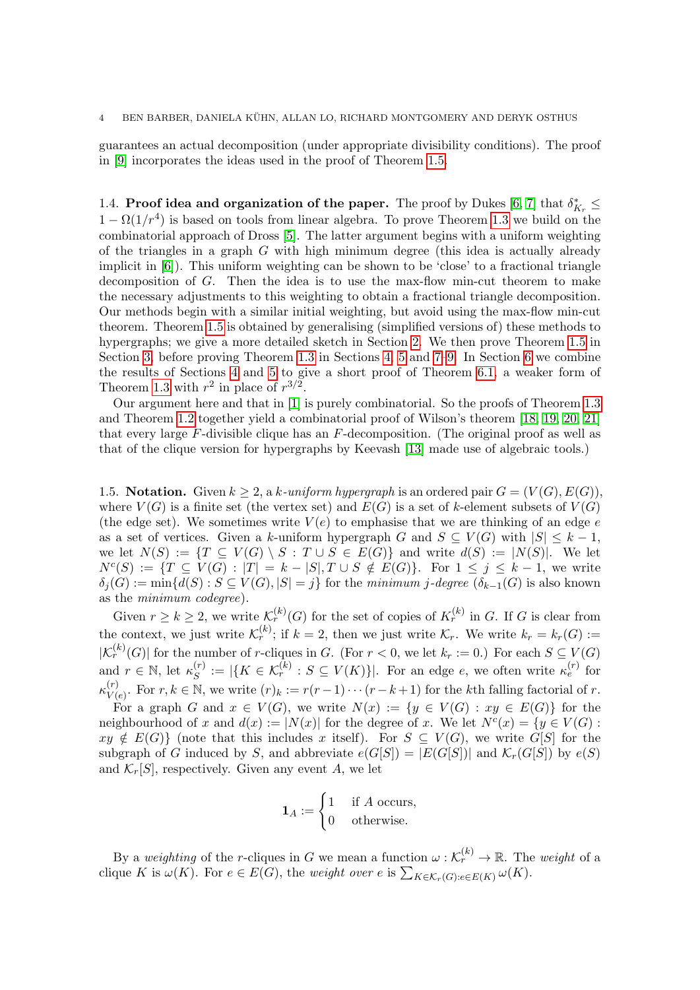#### 4 BEN BARBER, DANIELA KUHN, ALLAN LO, RICHARD MONTGOMERY AND DERYK OSTHUS ¨

guarantees an actual decomposition (under appropriate divisibility conditions). The proof in [\[9\]](#page-28-10) incorporates the ideas used in the proof of Theorem [1.5.](#page-2-0)

1.4. Proof idea and organization of the paper. The proof by Dukes [\[6,](#page-28-4) [7\]](#page-28-5) that  $\delta_{K_r}^* \leq$  $1 - \Omega(1/r^4)$  is based on tools from linear algebra. To prove Theorem [1.3](#page-1-2) we build on the combinatorial approach of Dross [\[5\]](#page-28-3). The latter argument begins with a uniform weighting of the triangles in a graph  $G$  with high minimum degree (this idea is actually already implicit in [\[6\]](#page-28-4)). This uniform weighting can be shown to be 'close' to a fractional triangle decomposition of G. Then the idea is to use the max-flow min-cut theorem to make the necessary adjustments to this weighting to obtain a fractional triangle decomposition. Our methods begin with a similar initial weighting, but avoid using the max-flow min-cut theorem. Theorem [1.5](#page-2-0) is obtained by generalising (simplified versions of) these methods to hypergraphs; we give a more detailed sketch in Section [2.](#page-4-0) We then prove Theorem [1.5](#page-2-0) in Section [3,](#page-5-0) before proving Theorem [1.3](#page-1-2) in Sections [4,](#page-9-0) [5](#page-11-0) and [7–](#page-16-0)[9.](#page-27-0) In Section [6](#page-15-1) we combine the results of Sections [4](#page-9-0) and [5](#page-11-0) to give a short proof of Theorem [6.1,](#page-15-0) a weaker form of Theorem [1.3](#page-1-2) with  $r^2$  in place of  $r^{3/2}$ .

Our argument here and that in [\[1\]](#page-28-2) is purely combinatorial. So the proofs of Theorem [1.3](#page-1-2) and Theorem [1.2](#page-1-0) together yield a combinatorial proof of Wilson's theorem [\[18,](#page-29-3) [19,](#page-29-4) [20,](#page-29-5) [21\]](#page-29-6) that every large  $F$ -divisible clique has an  $F$ -decomposition. (The original proof as well as that of the clique version for hypergraphs by Keevash [\[13\]](#page-29-11) made use of algebraic tools.)

1.5. Notation. Given  $k \geq 2$ , a k-uniform hypergraph is an ordered pair  $G = (V(G), E(G))$ , where  $V(G)$  is a finite set (the vertex set) and  $E(G)$  is a set of k-element subsets of  $V(G)$ (the edge set). We sometimes write  $V(e)$  to emphasise that we are thinking of an edge e as a set of vertices. Given a k-uniform hypergraph G and  $S \subseteq V(G)$  with  $|S| \leq k-1$ , we let  $N(S) := \{T \subseteq V(G) \setminus S : T \cup S \in E(G)\}\$  and write  $d(S) := |N(S)|$ . We let  $N^{c}(S) := \{T \subseteq V(G) : |T| = k - |S|, T \cup S \notin E(G)\}.$  For  $1 \leq j \leq k - 1$ , we write  $\delta_i(G) := \min\{d(S) : S \subseteq V(G), |S| = j\}$  for the minimum j-degree  $(\delta_{k-1}(G))$  is also known as the minimum codegree).

Given  $r \geq k \geq 2$ , we write  $\mathcal{K}_r^{(k)}(G)$  for the set of copies of  $K_r^{(k)}$  in G. If G is clear from the context, we just write  $\mathcal{K}_r^{(k)}$ ; if  $k = 2$ , then we just write  $\mathcal{K}_r$ . We write  $k_r = k_r(G)$ :=  $|\mathcal{K}_r^{(k)}(G)|$  for the number of r-cliques in G. (For  $r < 0$ , we let  $k_r := 0$ .) For each  $S \subseteq V(G)$ and  $r \in \mathbb{N}$ , let  $\kappa_S^{(r)}$  $S(S^{(r)}):=|\{K \in \mathcal{K}_r^{(k)}: S \subseteq V(K)\}|.$  For an edge e, we often write  $\kappa_e^{(r)}$  for  $\kappa_{V}^{(r)}$  $V(r)$  For  $r, k \in \mathbb{N}$ , we write  $(r)_k := r(r-1)\cdots(r-k+1)$  for the kth falling factorial of r.

For a graph G and  $x \in V(G)$ , we write  $N(x) := \{y \in V(G) : xy \in E(G)\}\)$  for the neighbourhood of x and  $d(x) := |N(x)|$  for the degree of x. We let  $N^c(x) = \{y \in V(G) :$  $xy \notin E(G)$  (note that this includes x itself). For  $S \subseteq V(G)$ , we write  $G[S]$  for the subgraph of G induced by S, and abbreviate  $e(G[S]) = |E(G[S])|$  and  $\mathcal{K}_r(G[S])$  by  $e(S)$ and  $\mathcal{K}_r[S]$ , respectively. Given any event A, we let

$$
\mathbf{1}_A := \begin{cases} 1 & \text{if } A \text{ occurs,} \\ 0 & \text{otherwise.} \end{cases}
$$

By a weighting of the r-cliques in G we mean a function  $\omega: \mathcal{K}_r^{(k)} \to \mathbb{R}$ . The weight of a clique K is  $\omega(K)$ . For  $e \in E(G)$ , the weight over e is  $\sum_{K \in \mathcal{K}_r(G): e \in E(K)} \omega(K)$ .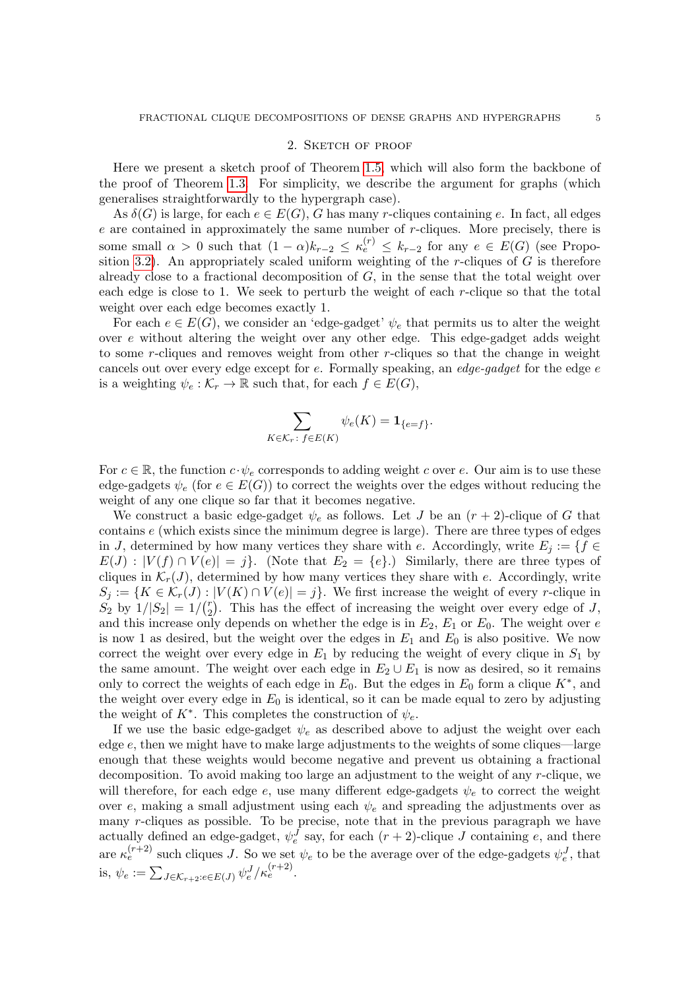#### 2. SKETCH OF PROOF

<span id="page-4-0"></span>Here we present a sketch proof of Theorem [1.5,](#page-2-0) which will also form the backbone of the proof of Theorem [1.3.](#page-1-2) For simplicity, we describe the argument for graphs (which generalises straightforwardly to the hypergraph case).

As  $\delta(G)$  is large, for each  $e \in E(G)$ , G has many r-cliques containing e. In fact, all edges  $e$  are contained in approximately the same number of  $r$ -cliques. More precisely, there is some small  $\alpha > 0$  such that  $(1 - \alpha)k_{r-2} \leq \kappa_e^{(r)} \leq k_{r-2}$  for any  $e \in E(G)$  (see Propo-sition [3.2\)](#page-5-1). An appropriately scaled uniform weighting of the r-cliques of  $G$  is therefore already close to a fractional decomposition of  $G$ , in the sense that the total weight over each edge is close to 1. We seek to perturb the weight of each r-clique so that the total weight over each edge becomes exactly 1.

For each  $e \in E(G)$ , we consider an 'edge-gadget'  $\psi_e$  that permits us to alter the weight over e without altering the weight over any other edge. This edge-gadget adds weight to some r-cliques and removes weight from other r-cliques so that the change in weight cancels out over every edge except for  $e$ . Formally speaking, an *edge-gadget* for the edge  $e$ is a weighting  $\psi_e : \mathcal{K}_r \to \mathbb{R}$  such that, for each  $f \in E(G)$ ,

$$
\sum_{K \in \mathcal{K}_r \colon f \in E(K)} \psi_e(K) = \mathbf{1}_{\{e=f\}}.
$$

For  $c \in \mathbb{R}$ , the function  $c \cdot \psi_e$  corresponds to adding weight c over e. Our aim is to use these edge-gadgets  $\psi_e$  (for  $e \in E(G)$ ) to correct the weights over the edges without reducing the weight of any one clique so far that it becomes negative.

We construct a basic edge-gadget  $\psi_e$  as follows. Let J be an  $(r + 2)$ -clique of G that contains  $e$  (which exists since the minimum degree is large). There are three types of edges in J, determined by how many vertices they share with e. Accordingly, write  $E_i := \{f \in$  $E(J) : |V(f) \cap V(e)| = j$ . (Note that  $E_2 = \{e\}$ .) Similarly, there are three types of cliques in  $\mathcal{K}_r(J)$ , determined by how many vertices they share with e. Accordingly, write  $S_j := \{K \in \mathcal{K}_r(J) : |V(K) \cap V(e)| = j\}.$  We first increase the weight of every r-clique in  $S_2$  by  $1/|S_2| = 1/(r_2)$  $_{2}^{r}$ ). This has the effect of increasing the weight over every edge of J, and this increase only depends on whether the edge is in  $E_2$ ,  $E_1$  or  $E_0$ . The weight over e is now 1 as desired, but the weight over the edges in  $E_1$  and  $E_0$  is also positive. We now correct the weight over every edge in  $E_1$  by reducing the weight of every clique in  $S_1$  by the same amount. The weight over each edge in  $E_2 \cup E_1$  is now as desired, so it remains only to correct the weights of each edge in  $E_0$ . But the edges in  $E_0$  form a clique  $K^*$ , and the weight over every edge in  $E_0$  is identical, so it can be made equal to zero by adjusting the weight of  $K^*$ . This completes the construction of  $\psi_e$ .

If we use the basic edge-gadget  $\psi_e$  as described above to adjust the weight over each edge e, then we might have to make large adjustments to the weights of some cliques—large enough that these weights would become negative and prevent us obtaining a fractional decomposition. To avoid making too large an adjustment to the weight of any r-clique, we will therefore, for each edge  $e$ , use many different edge-gadgets  $\psi_e$  to correct the weight over e, making a small adjustment using each  $\psi_e$  and spreading the adjustments over as many r-cliques as possible. To be precise, note that in the previous paragraph we have actually defined an edge-gadget,  $\psi_e^J$  say, for each  $(r+2)$ -clique J containing e, and there are  $\kappa_e^{(r+2)}$  such cliques J. So we set  $\psi_e$  to be the average over of the edge-gadgets  $\psi_e^J$ , that is,  $\psi_e := \sum_{J \in \mathcal{K}_{r+2}: e \in E(J)} \psi_e^J / \kappa_e^{(r+2)}$ .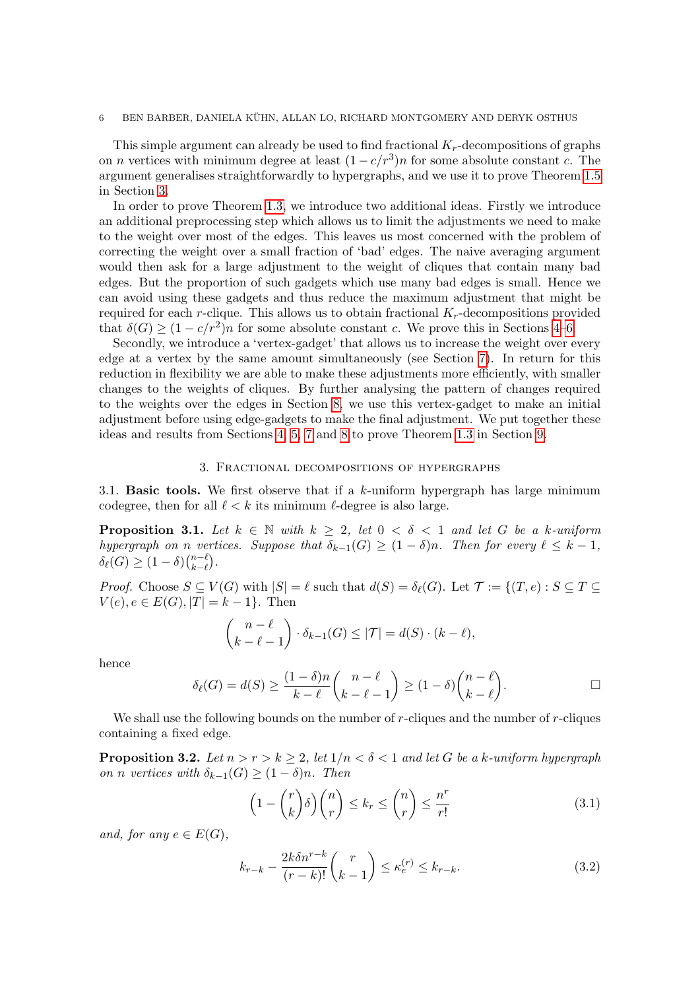#### 6 BEN BARBER, DANIELA KUHN, ALLAN LO, RICHARD MONTGOMERY AND DERYK OSTHUS ¨

This simple argument can already be used to find fractional  $K_r$ -decompositions of graphs on *n* vertices with minimum degree at least  $(1 - c/r^3)n$  for some absolute constant *c*. The argument generalises straightforwardly to hypergraphs, and we use it to prove Theorem [1.5](#page-2-0) in Section [3.](#page-5-0)

In order to prove Theorem [1.3,](#page-1-2) we introduce two additional ideas. Firstly we introduce an additional preprocessing step which allows us to limit the adjustments we need to make to the weight over most of the edges. This leaves us most concerned with the problem of correcting the weight over a small fraction of 'bad' edges. The naive averaging argument would then ask for a large adjustment to the weight of cliques that contain many bad edges. But the proportion of such gadgets which use many bad edges is small. Hence we can avoid using these gadgets and thus reduce the maximum adjustment that might be required for each r-clique. This allows us to obtain fractional  $K_r$ -decompositions provided that  $\delta(G) \geq (1 - c/r^2)n$  for some absolute constant c. We prove this in Sections [4–](#page-9-0)[6.](#page-15-1)

Secondly, we introduce a 'vertex-gadget' that allows us to increase the weight over every edge at a vertex by the same amount simultaneously (see Section [7\)](#page-16-0). In return for this reduction in flexibility we are able to make these adjustments more efficiently, with smaller changes to the weights of cliques. By further analysing the pattern of changes required to the weights over the edges in Section [8,](#page-21-0) we use this vertex-gadget to make an initial adjustment before using edge-gadgets to make the final adjustment. We put together these ideas and results from Sections [4,](#page-9-0) [5,](#page-11-0) [7](#page-16-0) and [8](#page-21-0) to prove Theorem [1.3](#page-1-2) in Section [9.](#page-27-0)

### 3. Fractional decompositions of hypergraphs

<span id="page-5-5"></span><span id="page-5-0"></span>3.1. **Basic tools.** We first observe that if a  $k$ -uniform hypergraph has large minimum codegree, then for all  $\ell < k$  its minimum  $\ell$ -degree is also large.

<span id="page-5-4"></span>**Proposition 3.1.** Let  $k \in \mathbb{N}$  with  $k \geq 2$ , let  $0 < \delta < 1$  and let G be a k-uniform hypergraph on n vertices. Suppose that  $\delta_{k-1}(G) \geq (1-\delta)n$ . Then for every  $\ell \leq k-1$ ,  $\delta_\ell(G) \geq (1-\delta){n-\ell \choose k-\ell}$  $_{k-\ell}^{n-\ell}).$ 

*Proof.* Choose  $S \subseteq V(G)$  with  $|S| = \ell$  such that  $d(S) = \delta_{\ell}(G)$ . Let  $\mathcal{T} := \{(T, e) : S \subseteq T \subseteq \mathcal{T} \subseteq \mathcal{T} \}$  $V(e), e \in E(G), |T| = k - 1$ . Then

$$
\binom{n-\ell}{k-\ell-1} \cdot \delta_{k-1}(G) \leq |\mathcal{T}| = d(S) \cdot (k-\ell),
$$

hence

$$
\delta_{\ell}(G) = d(S) \ge \frac{(1-\delta)n}{k-\ell} {n-\ell \choose k-\ell-1} \ge (1-\delta){n-\ell \choose k-\ell}.
$$

We shall use the following bounds on the number of  $r$ -cliques and the number of  $r$ -cliques containing a fixed edge.

<span id="page-5-1"></span>**Proposition 3.2.** Let  $n > r > k \geq 2$ , let  $1/n < \delta < 1$  and let G be a k-uniform hypergraph on n vertices with  $\delta_{k-1}(G) \geq (1-\delta)n$ . Then

<span id="page-5-3"></span><span id="page-5-2"></span>
$$
\left(1 - \binom{r}{k}\delta\right)\binom{n}{r} \le k_r \le \binom{n}{r} \le \frac{n^r}{r!} \tag{3.1}
$$

and, for any  $e \in E(G)$ ,

$$
k_{r-k} - \frac{2k\delta n^{r-k}}{(r-k)!} \binom{r}{k-1} \le \kappa_e^{(r)} \le k_{r-k}.\tag{3.2}
$$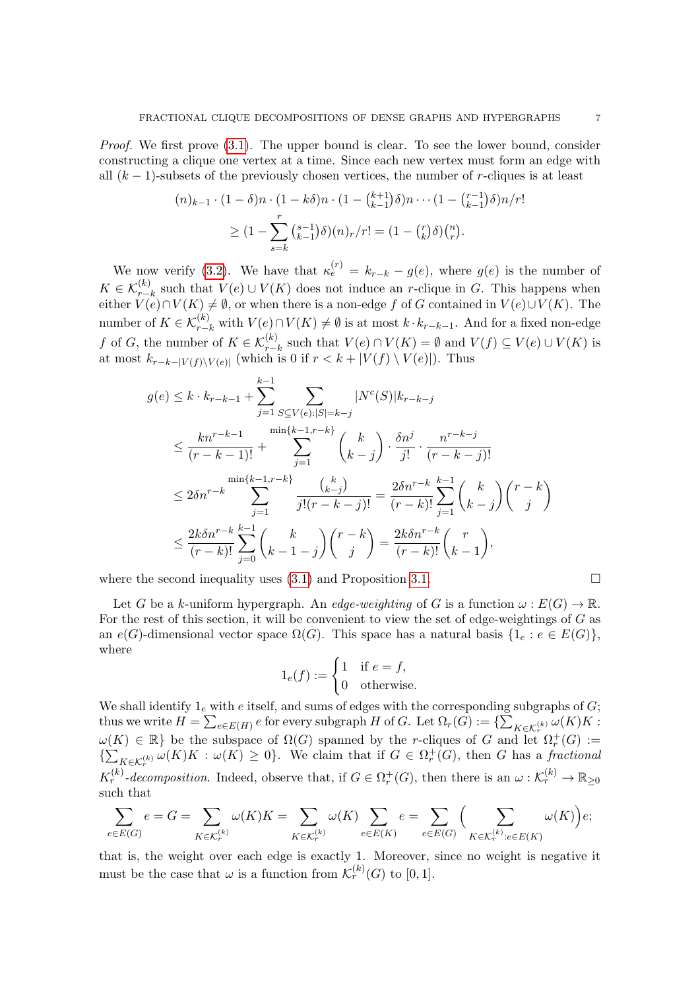Proof. We first prove  $(3.1)$ . The upper bound is clear. To see the lower bound, consider constructing a clique one vertex at a time. Since each new vertex must form an edge with all  $(k-1)$ -subsets of the previously chosen vertices, the number of r-cliques is at least

$$
(n)_{k-1} \cdot (1 - \delta)n \cdot (1 - k\delta)n \cdot (1 - {k+1 \choose k-1}\delta)n \cdots (1 - {r-1 \choose k-1}\delta)n/r!
$$
  
 
$$
\geq (1 - \sum_{s=k}^{r} {s-1 \choose k-1}\delta)(n)_r/r! = (1 - {r \choose k}\delta) {n \choose r}.
$$

We now verify [\(3.2\)](#page-5-3). We have that  $\kappa_e^{(r)} = k_{r-k} - g(e)$ , where  $g(e)$  is the number of  $K \in \mathcal{K}_{r-k}^{(k)}$  such that  $V(e) \cup V(K)$  does not induce an r-clique in G. This happens when either  $V(e) \cap V(K) \neq \emptyset$ , or when there is a non-edge f of G contained in  $V(e) \cup V(K)$ . The number of  $K \in \mathcal{K}_{r-k}^{(k)}$  with  $V(e) \cap V(K) \neq \emptyset$  is at most  $k \cdot k_{r-k-1}$ . And for a fixed non-edge f of G, the number of  $K \in \mathcal{K}_{r-k}^{(k)}$  such that  $V(e) \cap V(K) = \emptyset$  and  $V(f) \subseteq V(e) \cup V(K)$  is at most  $k_{r-k-|V(f)\setminus V(e)|}$  (which is 0 if  $r < k+|V(f) \setminus V(e)|$ ). Thus

$$
g(e) \le k \cdot k_{r-k-1} + \sum_{j=1}^{k-1} \sum_{S \subseteq V(e):|S|=k-j} |N^{c}(S)|k_{r-k-j}
$$
  
\n
$$
\le \frac{kn^{r-k-1}}{(r-k-1)!} + \sum_{j=1}^{\min\{k-1, r-k\}} {k \choose k-j} \cdot \frac{\delta n^j}{j!} \cdot \frac{n^{r-k-j}}{(r-k-j)!}
$$
  
\n
$$
\le 2\delta n^{r-k} \sum_{j=1}^{\min\{k-1, r-k\}} \frac{{k \choose k-j}}{j!(r-k-j)!} = \frac{2\delta n^{r-k}}{(r-k)!} \sum_{j=1}^{k-1} {k \choose k-j} {r-k \choose j}
$$
  
\n
$$
\le \frac{2k\delta n^{r-k}}{(r-k)!} \sum_{j=0}^{k-1} {k \choose k-1-j} {r-k \choose j} = \frac{2k\delta n^{r-k}}{(r-k)!} {r \choose k-1},
$$

where the second inequality uses  $(3.1)$  and Proposition [3.1.](#page-5-4)

Let G be a k-uniform hypergraph. An edge-weighting of G is a function  $\omega : E(G) \to \mathbb{R}$ . For the rest of this section, it will be convenient to view the set of edge-weightings of G as an  $e(G)$ -dimensional vector space  $\Omega(G)$ . This space has a natural basis  $\{1_e : e \in E(G)\},\$ where

$$
1_e(f) := \begin{cases} 1 & \text{if } e = f, \\ 0 & \text{otherwise.} \end{cases}
$$

We shall identify  $1_e$  with  $e$  itself, and sums of edges with the corresponding subgraphs of  $G$ ; thus we write  $H=\sum_{e\in E(H)}e$  for every subgraph  $H$  of  $G.$  Let  $\Omega_r(G):=\{\sum_{K\in \mathcal{K}_r^{(k)}}\omega(K)K:$  $\omega(K) \in \mathbb{R}$  be the subspace of  $\Omega(G)$  spanned by the r-cliques of G and let  $\Omega_r^+(G) :=$  $\{\sum_{K\in\mathcal{K}_r^{(k)}}\omega(K)K:\omega(K)\geq 0\}$ . We claim that if  $G\in\Omega_r^+(G)$ , then G has a fractional r  $K_r^{(k)}$ -decomposition. Indeed, observe that, if  $G \in \Omega_r^+(G)$ , then there is an  $\omega: \mathcal{K}_r^{(k)} \to \mathbb{R}_{\geq 0}$ such that

$$
\sum_{e\in E(G)}e=G=\sum_{K\in \mathcal{K}^{(k)}_r}\omega(K)K=\sum_{K\in \mathcal{K}^{(k)}_r}\omega(K)\sum_{e\in E(K)}e=\sum_{e\in E(G)}\Big(\sum_{K\in \mathcal{K}^{(k)}_r:e\in E(K)}\omega(K)\Big)e;
$$

that is, the weight over each edge is exactly 1. Moreover, since no weight is negative it must be the case that  $\omega$  is a function from  $\mathcal{K}_r^{(k)}(G)$  to [0, 1].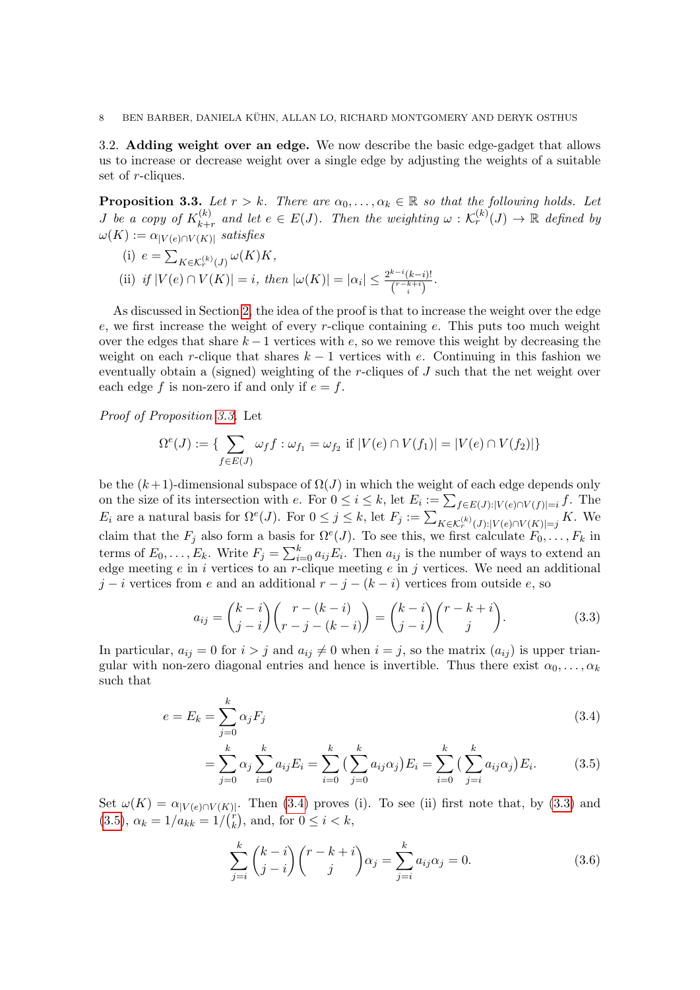3.2. Adding weight over an edge. We now describe the basic edge-gadget that allows us to increase or decrease weight over a single edge by adjusting the weights of a suitable set of *r*-cliques.

<span id="page-7-0"></span>**Proposition 3.3.** Let  $r > k$ . There are  $\alpha_0, \ldots, \alpha_k \in \mathbb{R}$  so that the following holds. Let *J* be a copy of  $K_{k+1}^{(k)}$  $\mathcal{L}_{k+r}^{(k)}$  and let  $e \in E(J)$ . Then the weighting  $\omega : \mathcal{K}_r^{(k)}(J) \to \mathbb{R}$  defined by  $\omega(K) := \alpha_{|V(e) \cap V(K)|}$  satisfies

(i) 
$$
e = \sum_{K \in \mathcal{K}_r^{(k)}(J)} \omega(K)K
$$
,  
\n(ii) *if*  $|V(e) \cap V(K)| = i$ , *then*  $|\omega(K)| = |\alpha_i| \le \frac{2^{k-i}(k-i)!}{\binom{r-k+i}{i}}$ .

As discussed in Section [2,](#page-4-0) the idea of the proof is that to increase the weight over the edge e, we first increase the weight of every  $r$ -clique containing e. This puts too much weight over the edges that share  $k - 1$  vertices with e, so we remove this weight by decreasing the weight on each r-clique that shares  $k - 1$  vertices with e. Continuing in this fashion we eventually obtain a (signed) weighting of the r-cliques of  $J$  such that the net weight over each edge f is non-zero if and only if  $e = f$ .

Proof of Proposition [3.3.](#page-7-0) Let

$$
\Omega^{e}(J) := \{ \sum_{f \in E(J)} \omega_f f : \omega_{f_1} = \omega_{f_2} \text{ if } |V(e) \cap V(f_1)| = |V(e) \cap V(f_2)| \}
$$

be the  $(k+1)$ -dimensional subspace of  $\Omega(J)$  in which the weight of each edge depends only on the size of its intersection with e. For  $0 \leq i \leq k$ , let  $E_i := \sum_{f \in E(J):|V(e) \cap V(f)| = i} f$ . The  $E_i$  are a natural basis for  $\Omega^e(J)$ . For  $0 \leq j \leq k$ , let  $F_j := \sum_{K \in \mathcal{K}_r^{(k)}(J): |V(e) \cap V(K)| = j} K$ . We claim that the  $F_j$  also form a basis for  $\Omega^e(J)$ . To see this, we first calculate  $F_0, \ldots, F_k$  in terms of  $E_0, \ldots, E_k$ . Write  $F_j = \sum_{i=0}^k a_{ij} E_i$ . Then  $a_{ij}$  is the number of ways to extend an edge meeting  $e$  in i vertices to an r-clique meeting  $e$  in j vertices. We need an additional  $j - i$  vertices from e and an additional  $r - j - (k - i)$  vertices from outside e, so

<span id="page-7-2"></span>
$$
a_{ij} = {k-i \choose j-i} {r-(k-i) \choose r-j-(k-i)} = {k-i \choose j-i} {r-k+i \choose j}.
$$
 (3.3)

In particular,  $a_{ij} = 0$  for  $i > j$  and  $a_{ij} \neq 0$  when  $i = j$ , so the matrix  $(a_{ij})$  is upper triangular with non-zero diagonal entries and hence is invertible. Thus there exist  $\alpha_0, \ldots, \alpha_k$ such that

$$
e = E_k = \sum_{j=0}^{k} \alpha_j F_j \tag{3.4}
$$

$$
= \sum_{j=0}^{k} \alpha_j \sum_{i=0}^{k} a_{ij} E_i = \sum_{i=0}^{k} \left( \sum_{j=0}^{k} a_{ij} \alpha_j \right) E_i = \sum_{i=0}^{k} \left( \sum_{j=i}^{k} a_{ij} \alpha_j \right) E_i.
$$
 (3.5)

Set  $\omega(K) = \alpha_{|V(e) \cap V(K)|}$ . Then [\(3.4\)](#page-7-1) proves (i). To see (ii) first note that, by [\(3.3\)](#page-7-2) and  $(3.5), \ \alpha_k = 1/a_{kk} = 1/(r_k^2)$  $(3.5), \ \alpha_k = 1/a_{kk} = 1/(r_k^2)$  $_{k}^{r}$ , and, for  $0 \leq i \leq k$ ,

<span id="page-7-4"></span><span id="page-7-3"></span><span id="page-7-1"></span>
$$
\sum_{j=i}^{k} {k-i \choose j-i} {r-k+i \choose j} \alpha_j = \sum_{j=i}^{k} a_{ij} \alpha_j = 0.
$$
 (3.6)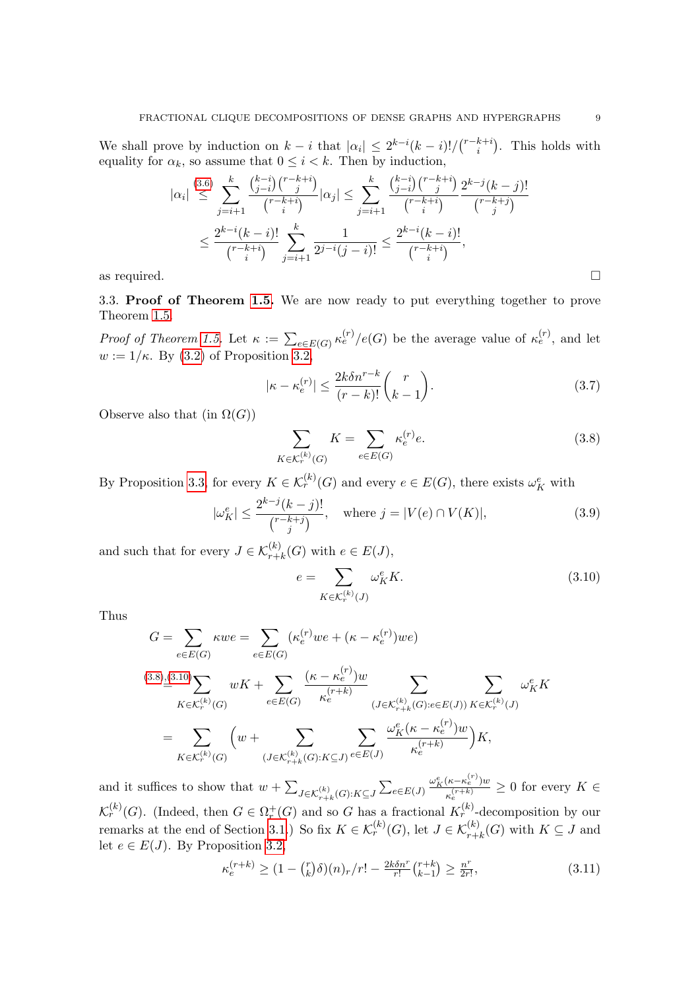We shall prove by induction on  $k - i$  that  $|\alpha_i| \leq 2^{k-i}(k-i)!/(n-k+i)$  $\binom{k+i}{i}$ . This holds with equality for  $\alpha_k$ , so assume that  $0 \leq i \leq k$ . Then by induction,

$$
|\alpha_i| \stackrel{(3.6)}{\leq} \sum_{j=i+1}^k \frac{\binom{k-i}{j-i} \binom{r-k+i}{j}}{\binom{r-k+i}{i}} |\alpha_j| \leq \sum_{j=i+1}^k \frac{\binom{k-i}{j-i} \binom{r-k+i}{j}}{\binom{r-k+i}{i}} \frac{2^{k-j} (k-j)!}{\binom{r-k+j}{j}}
$$

$$
\leq \frac{2^{k-i} (k-i)!}{\binom{r-k+i}{i}} \sum_{j=i+1}^k \frac{1}{2^{j-i} (j-i)!} \leq \frac{2^{k-i} (k-i)!}{\binom{r-k+i}{i}},
$$
as required.

3.3. Proof of Theorem [1.5.](#page-2-0) We are now ready to put everything together to prove Theorem [1.5.](#page-2-0)

*Proof of Theorem [1.5.](#page-2-0)* Let  $\kappa := \sum_{e \in E(G)} \kappa_e^{(r)} / e(G)$  be the average value of  $\kappa_e^{(r)}$ , and let  $w := 1/\kappa$ . By [\(3.2\)](#page-5-3) of Proposition 3.2.

<span id="page-8-2"></span>
$$
|\kappa - \kappa_e^{(r)}| \le \frac{2k\delta n^{r-k}}{(r-k)!} {r \choose k-1}.
$$
\n(3.7)

Observe also that (in  $\Omega(G)$ )

<span id="page-8-0"></span>
$$
\sum_{K \in \mathcal{K}_r^{(k)}(G)} K = \sum_{e \in E(G)} \kappa_e^{(r)} e.
$$
\n(3.8)

By Proposition [3.3,](#page-7-0) for every  $K \in \mathcal{K}_r^{(k)}(G)$  and every  $e \in E(G)$ , there exists  $\omega_K^e$  with

<span id="page-8-3"></span>
$$
|\omega_K^e| \le \frac{2^{k-j}(k-j)!}{\binom{r-k+j}{j}}, \quad \text{where } j = |V(e) \cap V(K)|,
$$
 (3.9)

and such that for every  $J \in \mathcal{K}_{r+k}^{(k)}(G)$  with  $e \in E(J)$ ,

<span id="page-8-1"></span>
$$
e = \sum_{K \in \mathcal{K}_r^{(k)}(J)} \omega_K^e K.
$$
\n(3.10)

Thus

$$
G = \sum_{e \in E(G)} \kappa w e = \sum_{e \in E(G)} (\kappa_e^{(r)} w e + (\kappa - \kappa_e^{(r)}) w e)
$$
  
\n
$$
\stackrel{(3.8),(3.10)}{=} \sum_{K \in \mathcal{K}_r^{(k)}(G)} w K + \sum_{e \in E(G)} \frac{(\kappa - \kappa_e^{(r)}) w}{\kappa_e^{(r+k)}} \sum_{(J \in \mathcal{K}_{r+k}^{(k)}(G): e \in E(J))} \sum_{K \in \mathcal{K}_r^{(k)}(J)} \omega_K^e K
$$
  
\n
$$
= \sum_{K \in \mathcal{K}_r^{(k)}(G)} \left( w + \sum_{(J \in \mathcal{K}_{r+k}^{(k)}(G): K \subseteq J)} \sum_{e \in E(J)} \frac{\omega_K^e (\kappa - \kappa_e^{(r)}) w}{\kappa_e^{(r+k)}} \right) K,
$$

and it suffices to show that  $w + \sum_{J \in \mathcal{K}_{r+k}^{(k)}(G): K \subseteq J} \sum_{e \in E(J)}$  $\omega_K^e(\kappa-\kappa_e^{(r)})w$  $\frac{(\kappa - \kappa_e - w)}{\kappa_e^{(r+k)}} \geq 0$  for every  $K \in$  $\mathcal{K}_r^{(k)}(G)$ . (Indeed, then  $G \in \Omega_r^+(G)$  and so G has a fractional  $K_r^{(k)}$ -decomposition by our remarks at the end of Section [3.1.](#page-5-5)) So fix  $K \in \mathcal{K}_r^{(k)}(G)$ , let  $J \in \mathcal{K}_{r+k}^{(k)}(G)$  with  $K \subseteq J$  and let  $e \in E(J)$ . By Proposition [3.2,](#page-5-1)

<span id="page-8-4"></span>
$$
\kappa_e^{(r+k)} \ge (1 - {r \choose k} \delta)(n)_r/r! - \frac{2k \delta n^r}{r!} {r+k \choose k-1} \ge \frac{n^r}{2r!},\tag{3.11}
$$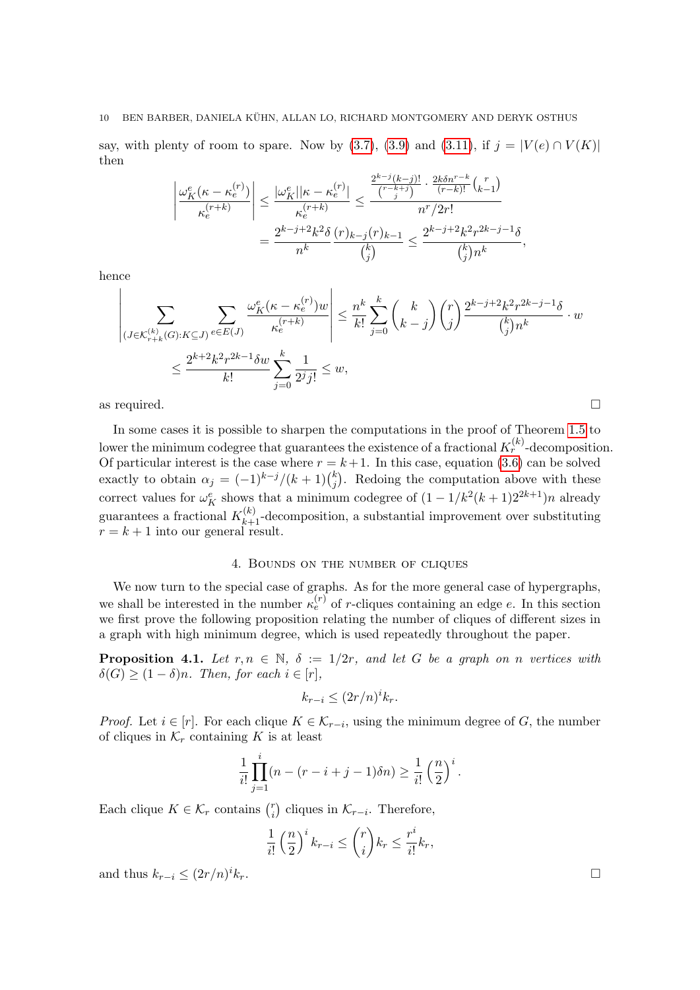#### 10 BEN BARBER, DANIELA KUHN, ALLAN LO, RICHARD MONTGOMERY AND DERYK OSTHUS ¨

say, with plenty of room to spare. Now by [\(3.7\)](#page-8-2), [\(3.9\)](#page-8-3) and [\(3.11\)](#page-8-4), if  $j = |V(e) \cap V(K)|$ then

$$
\left| \frac{\omega_K^e(\kappa - \kappa_e^{(r)})}{\kappa_e^{(r+k)}} \right| \leq \frac{|\omega_K^e||\kappa - \kappa_e^{(r)}|}{\kappa_e^{(r+k)}} \leq \frac{\frac{2^{k-j}(k-j)!}{r-k+j} \cdot \frac{2k\delta n^{r-k}}{(r-k)!} \binom{r}{k-1}}{n^r/2r!} = \frac{2^{k-j+2}k^2\delta}{n^k} \frac{(r)_{k-j}(r)_{k-1}}{\binom{k}{j}} \leq \frac{2^{k-j+2}k^2r^{2k-j-1}\delta}{\binom{k}{j}n^k},
$$

hence

$$
\left| \sum_{(J \in \mathcal{K}_{r+k}^{(k)}(G):K \subseteq J)} \sum_{e \in E(J)} \frac{\omega_K^e(\kappa - \kappa_e^{(r)})w}{\kappa_e^{(r+k)}} \right| \leq \frac{n^k}{k!} \sum_{j=0}^k {k \choose k-j} {r \choose j} \frac{2^{k-j+2}k^2r^{2k-j-1}\delta}{\binom{k}{j}n^k} \cdot w
$$
  

$$
\leq \frac{2^{k+2}k^2r^{2k-1}\delta w}{k!} \sum_{j=0}^k \frac{1}{2^j j!} \leq w,
$$

as required.  $\Box$ 

In some cases it is possible to sharpen the computations in the proof of Theorem [1.5](#page-2-0) to lower the minimum codegree that guarantees the existence of a fractional  $K_r^{(k)}$ -decomposition. Of particular interest is the case where  $r = k + 1$ . In this case, equation [\(3.6\)](#page-7-4) can be solved exactly to obtain  $\alpha_j = (-1)^{k-j}/(k+1)$  $_{j}^{k}$ ). Redoing the computation above with these correct values for  $\omega_K^e$  shows that a minimum codegree of  $(1 - 1/k^2(k+1)2^{2k+1})n$  already guarantees a fractional  $K_{k+1}^{(k)}$ -decomposition, a substantial improvement over substituting  $r = k + 1$  into our general result.

## 4. Bounds on the number of cliques

<span id="page-9-0"></span>We now turn to the special case of graphs. As for the more general case of hypergraphs, we shall be interested in the number  $\kappa_e^{(r)}$  of r-cliques containing an edge e. In this section we first prove the following proposition relating the number of cliques of different sizes in a graph with high minimum degree, which is used repeatedly throughout the paper.

<span id="page-9-1"></span>**Proposition 4.1.** Let  $r, n \in \mathbb{N}$ ,  $\delta := 1/2r$ , and let G be a graph on n vertices with  $\delta(G) \geq (1 - \delta)n$ . Then, for each  $i \in [r]$ ,

$$
k_{r-i} \le (2r/n)^i k_r.
$$

*Proof.* Let  $i \in [r]$ . For each clique  $K \in \mathcal{K}_{r-i}$ , using the minimum degree of G, the number of cliques in  $\mathcal{K}_r$  containing K is at least

$$
\frac{1}{i!} \prod_{j=1}^{i} (n - (r - i + j - 1)\delta n) \ge \frac{1}{i!} \left(\frac{n}{2}\right)^{i}.
$$

Each clique  $K \in \mathcal{K}_r$  contains  $\binom{r}{i}$  $\binom{r}{i}$  cliques in  $\mathcal{K}_{r-i}$ . Therefore,

$$
\frac{1}{i!} \left(\frac{n}{2}\right)^i k_{r-i} \leq {r \choose i} k_r \leq \frac{r^i}{i!} k_r,
$$

and thus  $k_{r-i} \leq (2r/n)^i k_r$ .  $ik_r$ .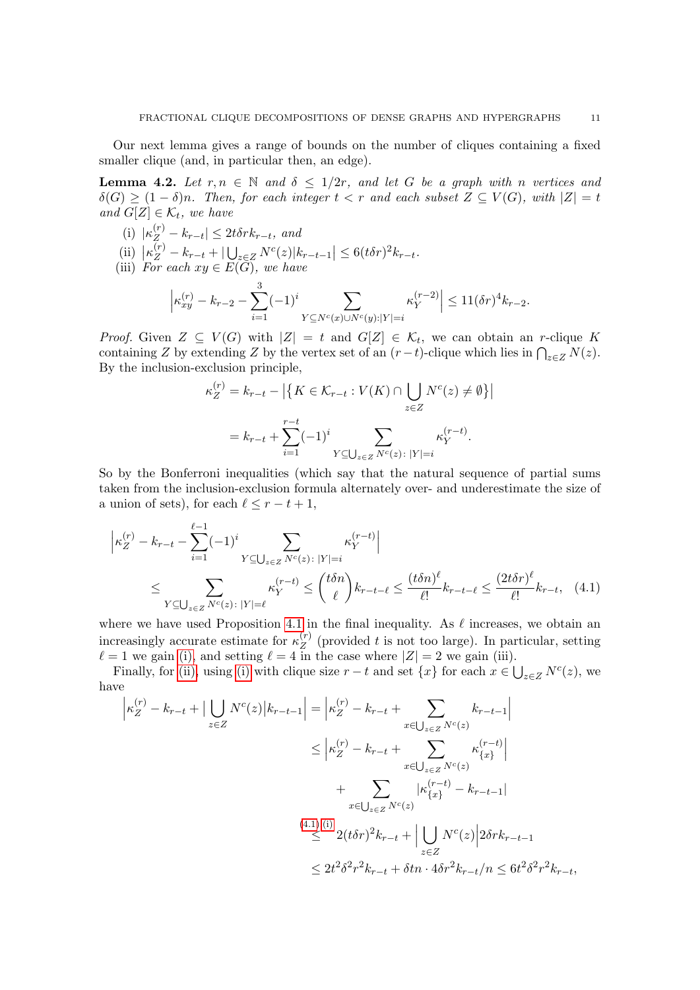Our next lemma gives a range of bounds on the number of cliques containing a fixed smaller clique (and, in particular then, an edge).

<span id="page-10-3"></span>**Lemma 4.2.** Let  $r, n \in \mathbb{N}$  and  $\delta \leq 1/2r$ , and let G be a graph with n vertices and  $\delta(G) \geq (1-\delta)n$ . Then, for each integer  $t < r$  and each subset  $Z \subseteq V(G)$ , with  $|Z| = t$ and  $G[Z] \in \mathcal{K}_t$ , we have

- <span id="page-10-0"></span>(i)  $|\kappa_Z^{(r)} - k_{r-t}| \leq 2t \delta r k_{r-t}$ , and
- <span id="page-10-1"></span>(ii)  $\left| \kappa_Z^{(r)} - k_{r-t} + \right| \bigcup_{z \in Z} N^c(z) |k_{r-t-1}| \leq 6(t\delta r)^2 k_{r-t}.$
- <span id="page-10-4"></span>(iii) For each  $xy \in E(G)$ , we have

$$
\left|\kappa_{xy}^{(r)} - k_{r-2} - \sum_{i=1}^3 (-1)^i \sum_{Y \subseteq N^c(x) \cup N^c(y):|Y|=i} \kappa_Y^{(r-2)}\right| \le 11(\delta r)^4 k_{r-2}.
$$

*Proof.* Given  $Z \subseteq V(G)$  with  $|Z| = t$  and  $G[Z] \in \mathcal{K}_t$ , we can obtain an r-clique K containing Z by extending Z by the vertex set of an  $(r-t)$ -clique which lies in  $\bigcap_{z\in Z} N(z)$ . By the inclusion-exclusion principle,

$$
\kappa_Z^{(r)} = k_{r-t} - \left| \left\{ K \in \mathcal{K}_{r-t} : V(K) \cap \bigcup_{z \in Z} N^c(z) \neq \emptyset \right\} \right|
$$
  
=  $k_{r-t} + \sum_{i=1}^{r-t} (-1)^i \sum_{Y \subseteq \bigcup_{z \in Z} N^c(z) : |Y|=i} \kappa_Y^{(r-t)}.$ 

<span id="page-10-2"></span> $\overline{\phantom{a}}$ 

So by the Bonferroni inequalities (which say that the natural sequence of partial sums taken from the inclusion-exclusion formula alternately over- and underestimate the size of a union of sets), for each  $\ell \leq r - t + 1$ ,

$$
\left| \kappa_Z^{(r)} - k_{r-t} - \sum_{i=1}^{\ell-1} (-1)^i \sum_{Y \subseteq \bigcup_{z \in Z} N^c(z) : |Y|=i} \kappa_Y^{(r-t)} \right|
$$
  
\$\leq \sum\_{Y \subseteq \bigcup\_{z \in Z} N^c(z) : |Y|=\ell} \kappa\_Y^{(r-t)} \leq {t \delta n \choose \ell} k\_{r-t-\ell} \leq {t \delta n)^{\ell} \over \ell!} k\_{r-t-\ell} \leq {2t \delta r \choose \ell} k\_{r-t} \quad (4.1)\$

where we have used Proposition [4.1](#page-9-1) in the final inequality. As  $\ell$  increases, we obtain an increasingly accurate estimate for  $\kappa_Z^{(r)}$  $Z<sup>(r)</sup>$  (provided t is not too large). In particular, setting  $\ell = 1$  we gain [\(i\),](#page-10-0) and setting  $\ell = 4$  in the case where  $|Z| = 2$  we gain (iii).

Finally, for [\(ii\),](#page-10-1) using [\(i\)](#page-10-0) with clique size  $r - t$  and set  $\{x\}$  for each  $x \in \bigcup_{z \in Z} N^c(z)$ , we have

$$
\begin{aligned}\n\left| \kappa_Z^{(r)} - k_{r-t} + \left| \bigcup_{z \in Z} N^c(z) \right| k_{r-t-1} \right| &= \left| \kappa_Z^{(r)} - k_{r-t} + \sum_{x \in \bigcup_{z \in Z} N^c(z)} k_{r-t-1} \right| \\
&\le \left| \kappa_Z^{(r)} - k_{r-t} + \sum_{x \in \bigcup_{z \in Z} N^c(z)} \kappa_{\{x\}}^{(r-t)} \right| \\
&\quad + \sum_{x \in \bigcup_{z \in Z} N^c(z)} \left| \kappa_{\{x\}}^{(r-t)} - k_{r-t-1} \right| \\
&\le \left| 2(t\delta r)^2 k_{r-t} + \left| \bigcup_{z \in Z} N^c(z) \right| 2\delta r k_{r-t-1} \\
&\le 2t^2 \delta^2 r^2 k_{r-t} + \delta t n \cdot 4\delta r^2 k_{r-t} / n \le 6t^2 \delta^2 r^2 k_{r-t},\n\end{aligned}
$$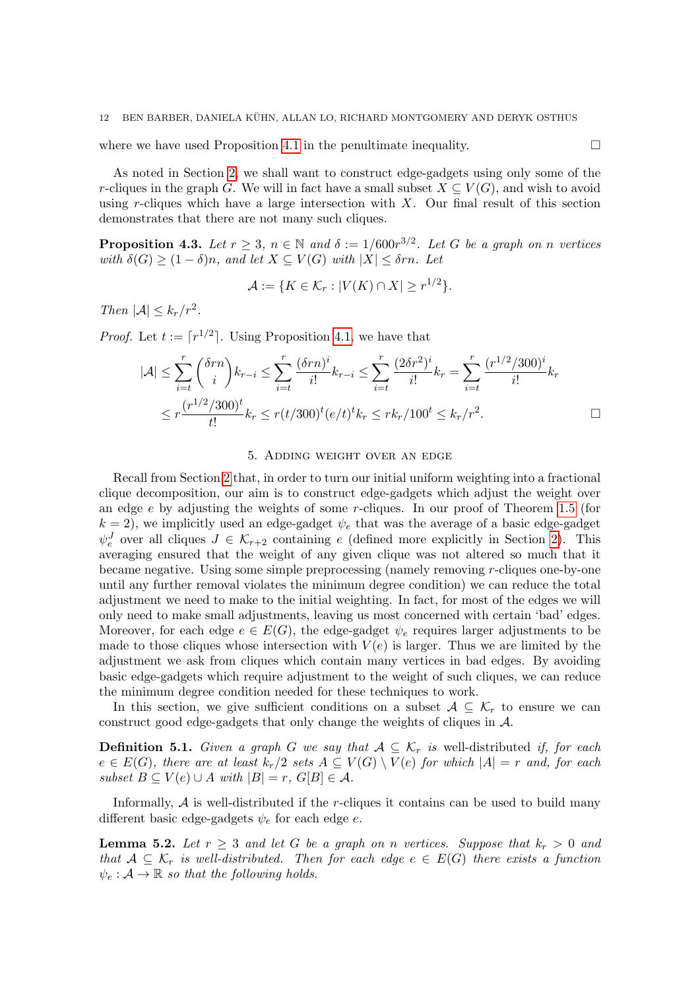where we have used Proposition [4.1](#page-9-1) in the penultimate inequality.  $\Box$ 

As noted in Section [2,](#page-4-0) we shall want to construct edge-gadgets using only some of the r-cliques in the graph G. We will in fact have a small subset  $X \subseteq V(G)$ , and wish to avoid using r-cliques which have a large intersection with  $X$ . Our final result of this section demonstrates that there are not many such cliques.

<span id="page-11-2"></span>**Proposition 4.3.** Let  $r \geq 3$ ,  $n \in \mathbb{N}$  and  $\delta := 1/600r^{3/2}$ . Let G be a graph on n vertices with  $\delta(G) \geq (1 - \delta)n$ , and let  $X \subseteq V(G)$  with  $|X| \leq \delta rn$ . Let

$$
\mathcal{A} := \{ K \in \mathcal{K}_r : |V(K) \cap X| \ge r^{1/2} \}.
$$

Then  $|\mathcal{A}| \leq k_r/r^2$ .

*Proof.* Let  $t := \lceil r^{1/2} \rceil$ . Using Proposition [4.1,](#page-9-1) we have that

$$
|\mathcal{A}| \leq \sum_{i=t}^{r} {\delta r n \choose i} k_{r-i} \leq \sum_{i=t}^{r} {\frac{(\delta r n)^i}{i!}} k_{r-i} \leq \sum_{i=t}^{r} {\frac{(2\delta r^2)^i}{i!}} k_r = \sum_{i=t}^{r} {\frac{(r^{1/2}/300)^i}{i!}} k_r
$$
  

$$
\leq r {\frac{(r^{1/2}/300)^t}{t!}} k_r \leq r(t/300)^t (e/t)^t k_r \leq rk_r/100^t \leq k_r/r^2.
$$

## 5. Adding weight over an edge

<span id="page-11-0"></span>Recall from Section [2](#page-4-0) that, in order to turn our initial uniform weighting into a fractional clique decomposition, our aim is to construct edge-gadgets which adjust the weight over an edge e by adjusting the weights of some r-cliques. In our proof of Theorem [1.5](#page-2-0) (for  $k = 2$ , we implicitly used an edge-gadget  $\psi_e$  that was the average of a basic edge-gadget  $\psi_e^J$  over all cliques  $J \in \mathcal{K}_{r+2}$  containing e (defined more explicitly in Section [2\)](#page-4-0). This averaging ensured that the weight of any given clique was not altered so much that it became negative. Using some simple preprocessing (namely removing r-cliques one-by-one until any further removal violates the minimum degree condition) we can reduce the total adjustment we need to make to the initial weighting. In fact, for most of the edges we will only need to make small adjustments, leaving us most concerned with certain 'bad' edges. Moreover, for each edge  $e \in E(G)$ , the edge-gadget  $\psi_e$  requires larger adjustments to be made to those cliques whose intersection with  $V(e)$  is larger. Thus we are limited by the adjustment we ask from cliques which contain many vertices in bad edges. By avoiding basic edge-gadgets which require adjustment to the weight of such cliques, we can reduce the minimum degree condition needed for these techniques to work.

In this section, we give sufficient conditions on a subset  $A \subseteq \mathcal{K}_r$  to ensure we can construct good edge-gadgets that only change the weights of cliques in A.

**Definition 5.1.** Given a graph G we say that  $A \subseteq \mathcal{K}_r$  is well-distributed if, for each  $e \in E(G)$ , there are at least  $k_r/2$  sets  $A \subseteq V(G) \setminus V(e)$  for which  $|A| = r$  and, for each subset  $B \subseteq V(e) \cup A$  with  $|B| = r$ ,  $G[B] \in A$ .

Informally,  $A$  is well-distributed if the r-cliques it contains can be used to build many different basic edge-gadgets  $\psi_e$  for each edge e.

<span id="page-11-1"></span>**Lemma 5.2.** Let  $r \geq 3$  and let G be a graph on n vertices. Suppose that  $k_r > 0$  and that  $A \subseteq \mathcal{K}_r$  is well-distributed. Then for each edge  $e \in E(G)$  there exists a function  $\psi_e : A \to \mathbb{R}$  so that the following holds.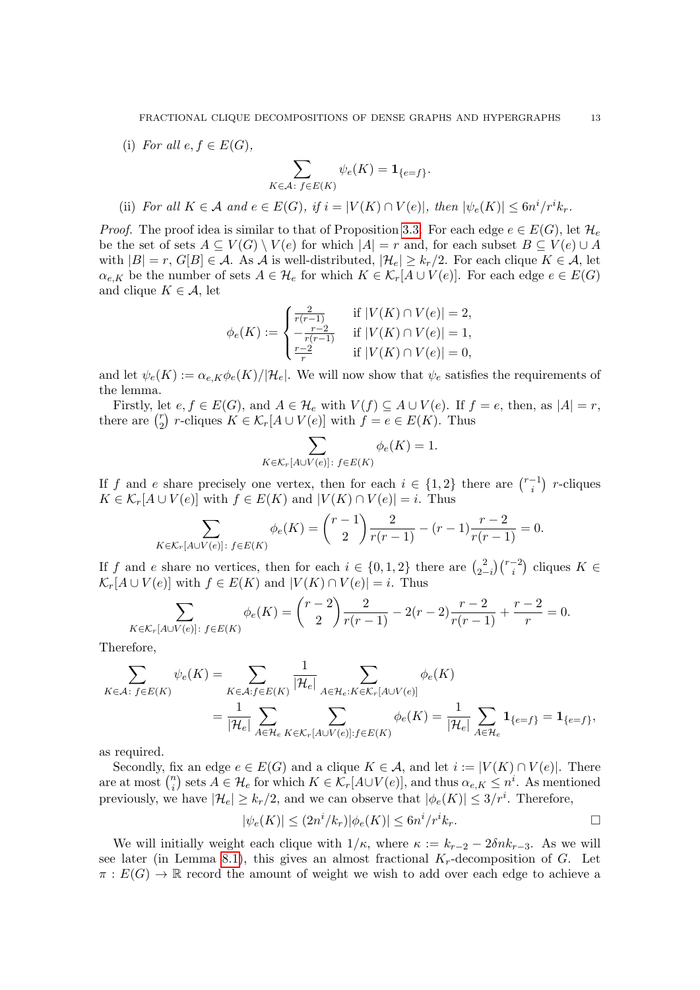(i) For all  $e, f \in E(G)$ ,

$$
\sum_{K\in\mathcal{A}\colon f\in E(K)}\psi_e(K)=\mathbf{1}_{\{e=f\}}.
$$

(ii) For all  $K \in \mathcal{A}$  and  $e \in E(G)$ , if  $i = |V(K) \cap V(e)|$ , then  $|\psi_e(K)| \leq 6n^i/r^i k_r$ .

*Proof.* The proof idea is similar to that of Proposition [3.3.](#page-7-0) For each edge  $e \in E(G)$ , let  $\mathcal{H}_e$ be the set of sets  $A \subseteq V(G) \setminus V(e)$  for which  $|A| = r$  and, for each subset  $B \subseteq V(e) \cup A$ with  $|B| = r$ ,  $G[B] \in \mathcal{A}$ . As  $\mathcal{A}$  is well-distributed,  $|\mathcal{H}_e| \geq k_r/2$ . For each clique  $K \in \mathcal{A}$ , let  $\alpha_{e,K}$  be the number of sets  $A \in \mathcal{H}_e$  for which  $K \in \mathcal{K}_r[A \cup V(e)]$ . For each edge  $e \in E(G)$ and clique  $K \in \mathcal{A}$ , let

$$
\phi_e(K) := \begin{cases} \frac{2}{r(r-1)} & \text{if } |V(K) \cap V(e)| = 2, \\ -\frac{r-2}{r(r-1)} & \text{if } |V(K) \cap V(e)| = 1, \\ \frac{r-2}{r} & \text{if } |V(K) \cap V(e)| = 0, \end{cases}
$$

and let  $\psi_e(K) := \alpha_{e,K} \phi_e(K)/|\mathcal{H}_e|$ . We will now show that  $\psi_e$  satisfies the requirements of the lemma.

Firstly, let  $e, f \in E(G)$ , and  $A \in \mathcal{H}_e$  with  $V(f) \subseteq A \cup V(e)$ . If  $f = e$ , then, as  $|A| = r$ , there are  $\int_{2}^{r}$  $Z_2^r$  r-cliques  $K \in \mathcal{K}_r[A \cup V(e)]$  with  $f = e \in E(K)$ . Thus

$$
\sum_{K \in \mathcal{K}_r[A \cup V(e)] \colon f \in E(K)} \phi_e(K) = 1.
$$

If f and e share precisely one vertex, then for each  $i \in \{1,2\}$  there are  $\binom{r-1}{i}$  $\binom{-1}{i}$  *r*-cliques  $K \in \mathcal{K}_r[A \cup V(e)]$  with  $f \in E(K)$  and  $|V(K) \cap V(e)| = i$ . Thus

$$
\sum_{K \in \mathcal{K}_r[A \cup V(e)] \colon f \in E(K)} \phi_e(K) = {r-1 \choose 2} \frac{2}{r(r-1)} - (r-1) \frac{r-2}{r(r-1)} = 0.
$$

If f and e share no vertices, then for each  $i \in \{0,1,2\}$  there are  $\binom{2}{2}$  $\binom{2}{2-i}\binom{r-2}{i}$  cliques  $K \in$  $\mathcal{K}_r[A \cup V(e)]$  with  $f \in E(K)$  and  $|V(K) \cap V(e)| = i$ . Thus

$$
\sum_{K \in \mathcal{K}_r[A \cup V(e)]: f \in E(K)} \phi_e(K) = {r-2 \choose 2} \frac{2}{r(r-1)} - 2(r-2) \frac{r-2}{r(r-1)} + \frac{r-2}{r} = 0.
$$

Therefore,

$$
\sum_{K \in \mathcal{A}: f \in E(K)} \psi_e(K) = \sum_{K \in \mathcal{A}: f \in E(K)} \frac{1}{|\mathcal{H}_e|} \sum_{A \in \mathcal{H}_e: K \in \mathcal{K}_r[A \cup V(e)]} \phi_e(K)
$$
  
= 
$$
\frac{1}{|\mathcal{H}_e|} \sum_{A \in \mathcal{H}_e} \sum_{K \in \mathcal{K}_r[A \cup V(e)] : f \in E(K)} \phi_e(K) = \frac{1}{|\mathcal{H}_e|} \sum_{A \in \mathcal{H}_e} \mathbf{1}_{\{e = f\}} = \mathbf{1}_{\{e = f\}},
$$

as required.

Secondly, fix an edge  $e \in E(G)$  and a clique  $K \in \mathcal{A}$ , and let  $i := |V(K) \cap V(e)|$ . There are at most  $\binom{n}{i}$  $\{f_i\}_{i=1}^n$  sets  $A \in \mathcal{H}_e$  for which  $K \in \mathcal{K}_r[A \cup V(e)]$ , and thus  $\alpha_{e,K} \leq n^i$ . As mentioned previously, we have  $|\mathcal{H}_e| \ge k_r/2$ , and we can observe that  $|\phi_e(K)| \le 3/r^i$ . Therefore,

$$
|\psi_e(K)| \le (2n^i / k_r) |\phi_e(K)| \le 6n^i / r^i k_r.
$$

We will initially weight each clique with  $1/\kappa$ , where  $\kappa := k_{r-2} - 2\delta n k_{r-3}$ . As we will see later (in Lemma [8.1\)](#page-21-1), this gives an almost fractional  $K_r$ -decomposition of G. Let  $\pi: E(G) \to \mathbb{R}$  record the amount of weight we wish to add over each edge to achieve a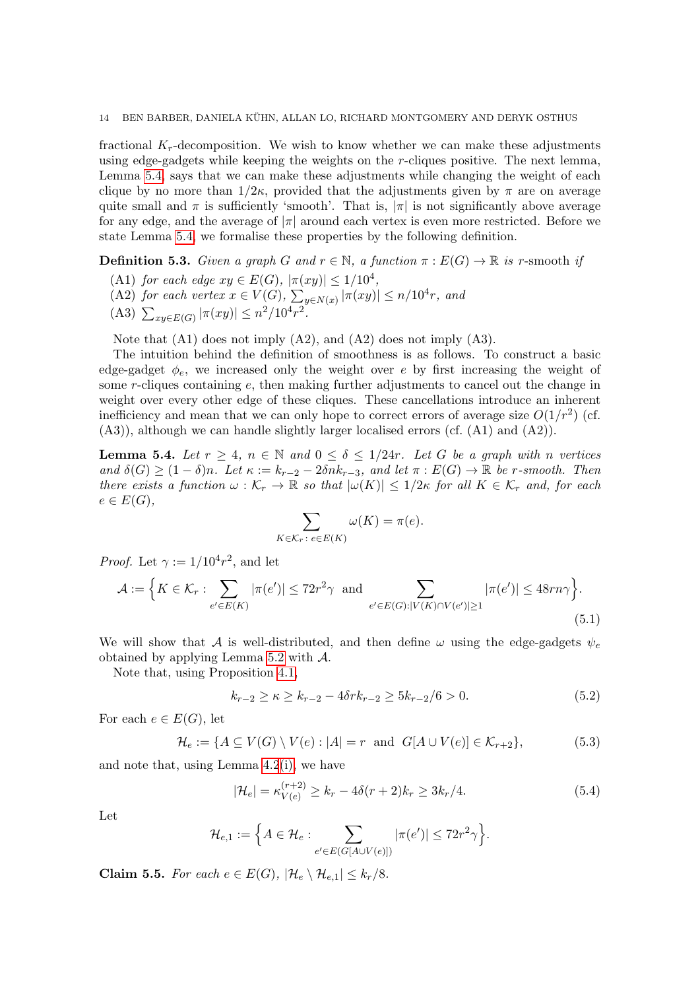fractional  $K_r$ -decomposition. We wish to know whether we can make these adjustments using edge-gadgets while keeping the weights on the  $r$ -cliques positive. The next lemma, Lemma [5.4,](#page-13-0) says that we can make these adjustments while changing the weight of each clique by no more than  $1/2\kappa$ , provided that the adjustments given by  $\pi$  are on average quite small and  $\pi$  is sufficiently 'smooth'. That is,  $|\pi|$  is not significantly above average for any edge, and the average of  $|\pi|$  around each vertex is even more restricted. Before we state Lemma [5.4,](#page-13-0) we formalise these properties by the following definition.

**Definition 5.3.** Given a graph G and  $r \in \mathbb{N}$ , a function  $\pi : E(G) \to \mathbb{R}$  is r-smooth if

- <span id="page-13-2"></span>(A1) for each edge  $xy \in E(G)$ ,  $|\pi(xy)| \leq 1/10^4$ ,
- <span id="page-13-4"></span>(A2) for each vertex  $x \in V(G)$ ,  $\sum_{y \in N(x)} |\pi(xy)| \leq n/10^4 r$ , and
- <span id="page-13-3"></span>(A3)  $\sum_{xy \in E(G)} |\pi(xy)| \leq n^2/10^4 r^2$ .

Note that (A1) does not imply (A2), and (A2) does not imply (A3).

The intuition behind the definition of smoothness is as follows. To construct a basic edge-gadget  $\phi_e$ , we increased only the weight over e by first increasing the weight of some r-cliques containing e, then making further adjustments to cancel out the change in weight over every other edge of these cliques. These cancellations introduce an inherent inefficiency and mean that we can only hope to correct errors of average size  $O(1/r^2)$  (cf.  $(A3)$ , although we can handle slightly larger localised errors (cf.  $(A1)$  and  $(A2)$ ).

<span id="page-13-0"></span>**Lemma 5.4.** Let  $r \geq 4$ ,  $n \in \mathbb{N}$  and  $0 \leq \delta \leq 1/24r$ . Let G be a graph with n vertices and  $\delta(G) \geq (1-\delta)n$ . Let  $\kappa := k_{r-2} - 2\delta nk_{r-3}$ , and let  $\pi : E(G) \to \mathbb{R}$  be r-smooth. Then there exists a function  $\omega : \mathcal{K}_r \to \mathbb{R}$  so that  $|\omega(K)| \leq 1/2\kappa$  for all  $K \in \mathcal{K}_r$  and, for each  $e \in E(G),$ 

<span id="page-13-6"></span>
$$
\sum_{K \in \mathcal{K}_r \colon e \in E(K)} \omega(K) = \pi(e).
$$

*Proof.* Let  $\gamma := 1/10^4 r^2$ , and let

$$
\mathcal{A} := \Big\{ K \in \mathcal{K}_r : \sum_{e' \in E(K)} |\pi(e')| \le 72r^2\gamma \text{ and } \sum_{e' \in E(G): |V(K) \cap V(e')| \ge 1} |\pi(e')| \le 48rn\gamma \Big\}.
$$
\n(5.1)

We will show that A is well-distributed, and then define  $\omega$  using the edge-gadgets  $\psi_e$ obtained by applying Lemma [5.2](#page-11-1) with  $\mathcal{A}$ .

Note that, using Proposition [4.1,](#page-9-1)

<span id="page-13-7"></span>
$$
k_{r-2} \ge \kappa \ge k_{r-2} - 4\delta r k_{r-2} \ge 5k_{r-2}/6 > 0. \tag{5.2}
$$

For each  $e \in E(G)$ , let

$$
\mathcal{H}_e := \{ A \subseteq V(G) \setminus V(e) : |A| = r \text{ and } G[A \cup V(e)] \in \mathcal{K}_{r+2} \},\tag{5.3}
$$

and note that, using Lemma [4.2](#page-10-3)[\(i\),](#page-10-0) we have

<span id="page-13-5"></span>
$$
|\mathcal{H}_e| = \kappa_{V(e)}^{(r+2)} \ge k_r - 4\delta(r+2)k_r \ge 3k_r/4.
$$
 (5.4)

Let

$$
\mathcal{H}_{e,1} := \left\{ A \in \mathcal{H}_e : \sum_{e' \in E(G[A \cup V(e)])} |\pi(e')| \leq 72r^2\gamma \right\}.
$$

<span id="page-13-1"></span>Claim 5.5. For each  $e \in E(G)$ ,  $|\mathcal{H}_e \setminus \mathcal{H}_{e,1}| \leq k_r/8$ .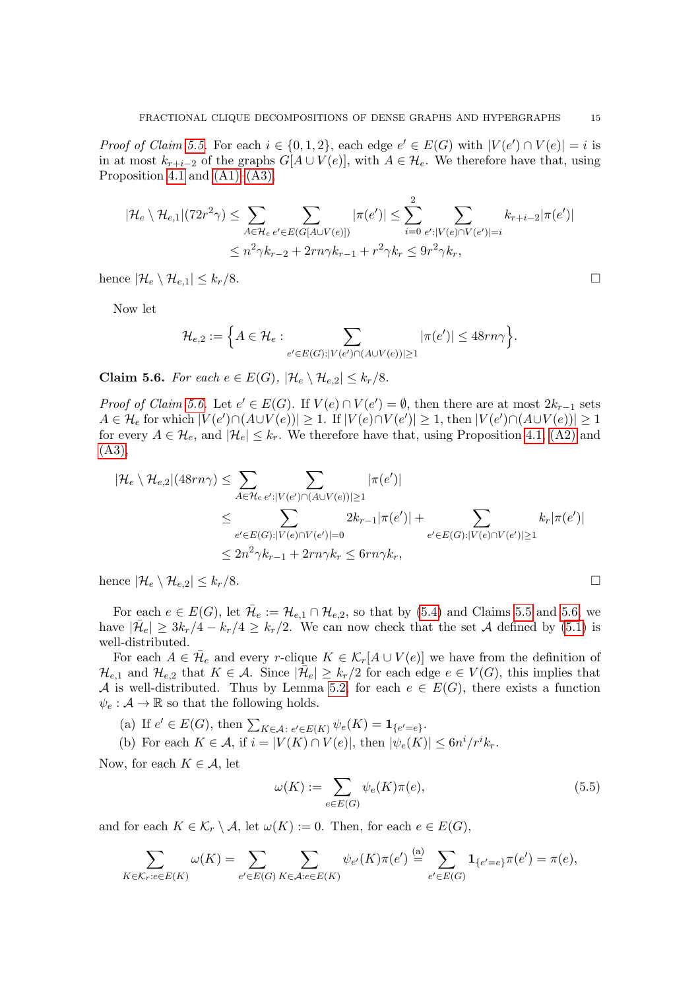*Proof of Claim [5.5.](#page-13-1)* For each  $i \in \{0,1,2\}$ , each edge  $e' \in E(G)$  with  $|V(e') \cap V(e)| = i$  is in at most  $k_{r+i-2}$  of the graphs  $G[A \cup V(e)]$ , with  $A \in \mathcal{H}_e$ . We therefore have that, using Proposition [4.1](#page-9-1) and  $(A1)–(A3)$ ,

$$
|\mathcal{H}_e \setminus \mathcal{H}_{e,1}|(72r^2\gamma) \le \sum_{A \in \mathcal{H}_e} \sum_{e' \in E(G[A \cup V(e)])} |\pi(e')| \le \sum_{i=0}^2 \sum_{e':|V(e) \cap V(e')|=i} k_{r+i-2}|\pi(e')|
$$
  

$$
\le n^2 \gamma k_{r-2} + 2rn\gamma k_{r-1} + r^2 \gamma k_r \le 9r^2 \gamma k_r,
$$

hence  $|\mathcal{H}_e \setminus \mathcal{H}_{e,1}| \leq k_r/8.$ 

Now let

$$
\mathcal{H}_{e,2} := \left\{ A \in \mathcal{H}_e : \sum_{e' \in E(G): |V(e') \cap (A \cup V(e))| \ge 1} |\pi(e')| \le 48rn\gamma \right\}.
$$

<span id="page-14-0"></span>Claim 5.6. For each  $e \in E(G)$ ,  $|\mathcal{H}_e \setminus \mathcal{H}_{e,2}| \leq k_r/8$ .

*Proof of Claim [5.6.](#page-14-0)* Let  $e' \in E(G)$ . If  $V(e) \cap V(e') = \emptyset$ , then there are at most  $2k_{r-1}$  sets  $A \in \mathcal{H}_e$  for which  $|V(e') \cap (A \cup V(e))| \geq 1$ . If  $|V(e) \cap V(e')| \geq 1$ , then  $|V(e') \cap (A \cup V(e))| \geq 1$ for every  $A \in \mathcal{H}_e$ , and  $|\mathcal{H}_e| \leq k_r$ . We therefore have that, using Proposition [4.1,](#page-9-1) [\(A2\)](#page-13-4) and [\(A3\),](#page-13-3)

$$
|\mathcal{H}_e \setminus \mathcal{H}_{e,2}|(48rn\gamma) \leq \sum_{A \in \mathcal{H}_e} \sum_{e': |V(e') \cap (A \cup V(e))| \geq 1} |\pi(e')|
$$
  

$$
\leq \sum_{e' \in E(G): |V(e) \cap V(e')| = 0} 2k_{r-1} |\pi(e')| + \sum_{e' \in E(G): |V(e) \cap V(e')| \geq 1} k_r |\pi(e')|
$$
  

$$
\leq 2n^2 \gamma k_{r-1} + 2rn\gamma k_r \leq 6rn\gamma k_r,
$$

hence  $|\mathcal{H}_e \setminus \mathcal{H}_{e,2}| \leq k_r/8.$ 

For each  $e \in E(G)$ , let  $\overline{\mathcal{H}}_e := \mathcal{H}_{e,1} \cap \mathcal{H}_{e,2}$ , so that by [\(5.4\)](#page-13-5) and Claims [5.5](#page-13-1) and [5.6,](#page-14-0) we have  $|\bar{\mathcal{H}}_e| \geq 3k_r/4 - k_r/4 \geq k_r/2$ . We can now check that the set A defined by [\(5.1\)](#page-13-6) is well-distributed.

For each  $A \in \overline{\mathcal{H}}_e$  and every r-clique  $K \in \mathcal{K}_r[A \cup V(e)]$  we have from the definition of  $\mathcal{H}_{e,1}$  and  $\mathcal{H}_{e,2}$  that  $K \in \mathcal{A}$ . Since  $|\mathcal{H}_e| \geq k_r/2$  for each edge  $e \in V(G)$ , this implies that A is well-distributed. Thus by Lemma [5.2,](#page-11-1) for each  $e \in E(G)$ , there exists a function  $\psi_e:\mathcal{A}\rightarrow\mathbb{R}$  so that the following holds.

(a) If  $e' \in E(G)$ , then  $\sum_{K \in \mathcal{A}: e' \in E(K)} \psi_e(K) = \mathbf{1}_{\{e' = e\}}$ .

<span id="page-14-1"></span>(b) For each  $K \in \mathcal{A}$ , if  $i = |V(K) \cap V(e)|$ , then  $|\psi_e(K)| \leq 6n^i/r^i k_r$ .

Now, for each  $K \in \mathcal{A}$ , let

<span id="page-14-2"></span>
$$
\omega(K) := \sum_{e \in E(G)} \psi_e(K)\pi(e),\tag{5.5}
$$

and for each  $K \in \mathcal{K}_r \setminus \mathcal{A}$ , let  $\omega(K) := 0$ . Then, for each  $e \in E(G)$ ,

$$
\sum_{K \in \mathcal{K}_r: e \in E(K)} \omega(K) = \sum_{e' \in E(G)} \sum_{K \in \mathcal{A}: e \in E(K)} \psi_{e'}(K)\pi(e') \stackrel{\text{(a)}}{=} \sum_{e' \in E(G)} \mathbf{1}_{\{e' = e\}}\pi(e') = \pi(e),
$$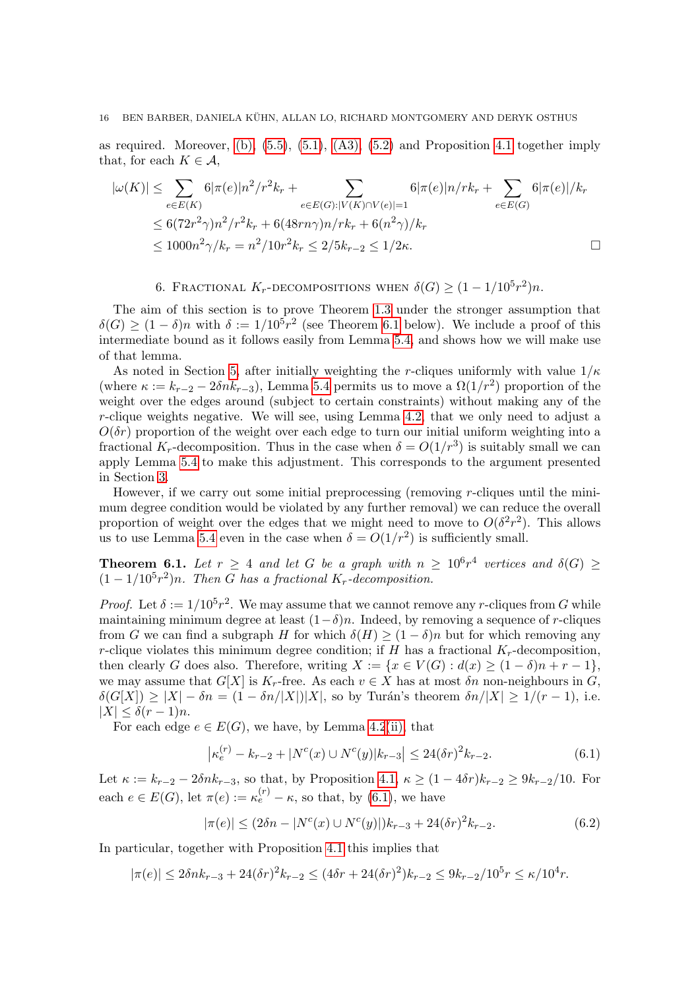#### 16 BEN BARBER, DANIELA KÜHN, ALLAN LO, RICHARD MONTGOMERY AND DERYK OSTHUS

as required. Moreover,  $(b)$ ,  $(5.5)$ ,  $(5.1)$ ,  $(A3)$ ,  $(5.2)$  and Proposition [4.1](#page-9-1) together imply that, for each  $K \in \mathcal{A}$ ,

$$
|\omega(K)| \leq \sum_{e \in E(K)} 6|\pi(e)|n^2/r^2k_r + \sum_{e \in E(G): |V(K) \cap V(e)|=1} 6|\pi(e)|n/rk_r + \sum_{e \in E(G)} 6|\pi(e)|/k_r
$$
  
\n
$$
\leq 6(72r^2\gamma)n^2/r^2k_r + 6(48rn\gamma)n/rk_r + 6(n^2\gamma)/k_r
$$
  
\n
$$
\leq 1000n^2\gamma/k_r = n^2/10r^2k_r \leq 2/5k_{r-2} \leq 1/2\kappa.
$$

6. FRACTIONAL  $K_r$ -DECOMPOSITIONS WHEN  $\delta(G) \geq (1 - 1/10^5 r^2)n$ .

<span id="page-15-1"></span>The aim of this section is to prove Theorem [1.3](#page-1-2) under the stronger assumption that  $\delta(G) \geq (1-\delta)n$  with  $\delta := 1/10^5 r^2$  (see Theorem [6.1](#page-15-0) below). We include a proof of this intermediate bound as it follows easily from Lemma [5.4,](#page-13-0) and shows how we will make use of that lemma.

As noted in Section [5,](#page-11-0) after initially weighting the r-cliques uniformly with value  $1/\kappa$ (where  $\kappa := k_{r-2} - 2\delta n k_{r-3}$ ), Lemma [5.4](#page-13-0) permits us to move a  $\Omega(1/r^2)$  proportion of the weight over the edges around (subject to certain constraints) without making any of the  $r$ -clique weights negative. We will see, using Lemma [4.2,](#page-10-3) that we only need to adjust a  $O(\delta r)$  proportion of the weight over each edge to turn our initial uniform weighting into a fractional  $K_r$ -decomposition. Thus in the case when  $\delta = O(1/r^3)$  is suitably small we can apply Lemma [5.4](#page-13-0) to make this adjustment. This corresponds to the argument presented in Section [3.](#page-5-0)

However, if we carry out some initial preprocessing (removing  $r$ -cliques until the minimum degree condition would be violated by any further removal) we can reduce the overall proportion of weight over the edges that we might need to move to  $O(\delta^2 r^2)$ . This allows us to use Lemma [5.4](#page-13-0) even in the case when  $\delta = O(1/r^2)$  is sufficiently small.

<span id="page-15-0"></span>**Theorem 6.1.** Let  $r \geq 4$  and let G be a graph with  $n \geq 10^6 r^4$  vertices and  $\delta(G) \geq$  $(1 - 1/10<sup>5</sup> r<sup>2</sup>)n$ . Then G has a fractional K<sub>r</sub>-decomposition.

*Proof.* Let  $\delta := 1/10^5 r^2$ . We may assume that we cannot remove any r-cliques from G while maintaining minimum degree at least  $(1-\delta)n$ . Indeed, by removing a sequence of r-cliques from G we can find a subgraph H for which  $\delta(H) \geq (1 - \delta)n$  but for which removing any r-clique violates this minimum degree condition; if H has a fractional  $K_r$ -decomposition, then clearly G does also. Therefore, writing  $X := \{x \in V(G) : d(x) \geq (1 - \delta)n + r - 1\},\$ we may assume that  $G[X]$  is  $K_r$ -free. As each  $v \in X$  has at most  $\delta n$  non-neighbours in  $G$ ,  $\delta(G[X]) \geq |X| - \delta n = (1 - \delta n / |X|) |X|$ , so by Turán's theorem  $\delta n / |X| \geq 1/(r-1)$ , i.e.  $|X| \leq \delta(r-1)n$ .

For each edge  $e \in E(G)$ , we have, by Lemma [4.2](#page-10-3)[\(ii\),](#page-10-1) that

<span id="page-15-2"></span>
$$
\left|\kappa_e^{(r)} - k_{r-2} + |N^c(x) \cup N^c(y)|k_{r-3}\right| \le 24(\delta r)^2 k_{r-2}.
$$
\n(6.1)

Let  $\kappa := k_{r-2} - 2\delta n k_{r-3}$ , so that, by Proposition [4.1,](#page-9-1)  $\kappa \geq (1 - 4\delta r)k_{r-2} \geq 9k_{r-2}/10$ . For each  $e \in E(G)$ , let  $\pi(e) := \kappa_e^{(r)} - \kappa$ , so that, by [\(6.1\)](#page-15-2), we have

<span id="page-15-3"></span>
$$
|\pi(e)| \le (2\delta n - |N^{c}(x) \cup N^{c}(y)|)k_{r-3} + 24(\delta r)^{2}k_{r-2}.
$$
\n(6.2)

In particular, together with Proposition [4.1](#page-9-1) this implies that

$$
|\pi(e)| \le 2\delta n k_{r-3} + 24(\delta r)^2 k_{r-2} \le (4\delta r + 24(\delta r)^2) k_{r-2} \le 9k_{r-2}/10^5 r \le \kappa/10^4 r.
$$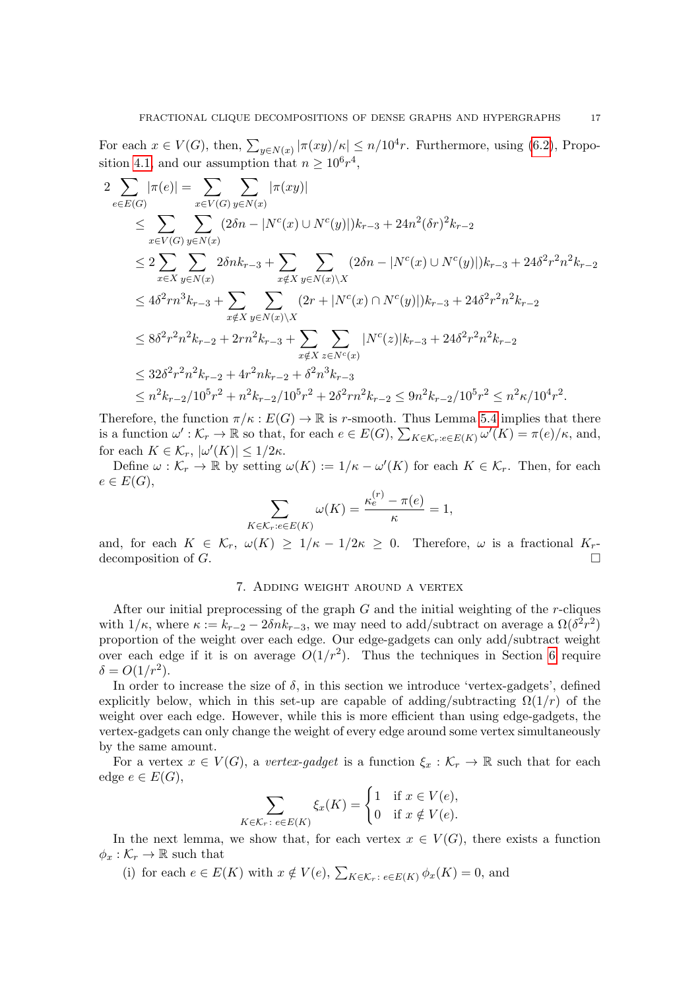For each  $x \in V(G)$ , then,  $\sum_{y \in N(x)} |\pi(xy)/\kappa| \leq n/10^4 r$ . Furthermore, using [\(6.2\)](#page-15-3), Propo-sition [4.1,](#page-9-1) and our assumption that  $n \geq 10^6 r^4$ ,

$$
2\sum_{e\in E(G)} |\pi(e)| = \sum_{x\in V(G)} \sum_{y\in N(x)} |\pi(xy)|
$$
  
\n
$$
\leq \sum_{x\in V(G)} \sum_{y\in N(x)} (2\delta n - |N^c(x) \cup N^c(y)|)k_{r-3} + 24n^2(\delta r)^2 k_{r-2}
$$
  
\n
$$
\leq 2\sum_{x\in X} \sum_{y\in N(x)} 2\delta nk_{r-3} + \sum_{x\notin X} \sum_{y\in N(x)\backslash X} (2\delta n - |N^c(x) \cup N^c(y)|)k_{r-3} + 24\delta^2 r^2 n^2 k_{r-2}
$$
  
\n
$$
\leq 4\delta^2 r n^3 k_{r-3} + \sum_{x\notin X} \sum_{y\in N(x)\backslash X} (2r + |N^c(x) \cap N^c(y)|)k_{r-3} + 24\delta^2 r^2 n^2 k_{r-2}
$$
  
\n
$$
\leq 8\delta^2 r^2 n^2 k_{r-2} + 2r n^2 k_{r-3} + \sum_{x\notin X} \sum_{z\in N^c(x)} |N^c(z)|k_{r-3} + 24\delta^2 r^2 n^2 k_{r-2}
$$
  
\n
$$
\leq 32\delta^2 r^2 n^2 k_{r-2} + 4r^2 n k_{r-2} + \delta^2 n^3 k_{r-3}
$$
  
\n
$$
\leq n^2 k_{r-2}/10^5 r^2 + n^2 k_{r-2}/10^5 r^2 + 2\delta^2 r n^2 k_{r-2} \leq 9n^2 k_{r-2}/10^5 r^2 \leq n^2 \kappa/10^4 r^2.
$$

Therefore, the function  $\pi/\kappa : E(G) \to \mathbb{R}$  is r-smooth. Thus Lemma [5.4](#page-13-0) implies that there is a function  $\omega': \mathcal{K}_r \to \mathbb{R}$  so that, for each  $e \in E(G)$ ,  $\sum_{K \in \mathcal{K}_r:e \in E(K)} \omega'(K) = \pi(e)/\kappa$ , and, for each  $K \in \mathcal{K}_r$ ,  $|\omega'(K)| \leq 1/2\kappa$ .

Define  $\omega: \mathcal{K}_r \to \mathbb{R}$  by setting  $\omega(K) := 1/\kappa - \omega'(K)$  for each  $K \in \mathcal{K}_r$ . Then, for each  $e \in E(G),$ 

$$
\sum_{K \in \mathcal{K}_r: e \in E(K)} \omega(K) = \frac{\kappa_e^{(r)} - \pi(e)}{\kappa} = 1,
$$

and, for each  $K \in \mathcal{K}_r$ ,  $\omega(K) \geq 1/\kappa - 1/2\kappa \geq 0$ . Therefore,  $\omega$  is a fractional  $K_r$ decomposition of  $G$ .

## 7. Adding weight around a vertex

<span id="page-16-0"></span>After our initial preprocessing of the graph  $G$  and the initial weighting of the r-cliques with  $1/\kappa$ , where  $\kappa := k_{r-2} - 2\delta n k_{r-3}$ , we may need to add/subtract on average a  $\Omega(\delta^2 r^2)$ proportion of the weight over each edge. Our edge-gadgets can only add/subtract weight over each edge if it is on average  $O(1/r^2)$ . Thus the techniques in Section [6](#page-15-1) require  $\delta = O(1/r^2).$ 

In order to increase the size of  $\delta$ , in this section we introduce 'vertex-gadgets', defined explicitly below, which in this set-up are capable of adding/subtracting  $\Omega(1/r)$  of the weight over each edge. However, while this is more efficient than using edge-gadgets, the vertex-gadgets can only change the weight of every edge around some vertex simultaneously by the same amount.

For a vertex  $x \in V(G)$ , a vertex-gadget is a function  $\xi_x : \mathcal{K}_r \to \mathbb{R}$  such that for each edge  $e \in E(G)$ ,

$$
\sum_{K \in \mathcal{K}_r : e \in E(K)} \xi_x(K) = \begin{cases} 1 & \text{if } x \in V(e), \\ 0 & \text{if } x \notin V(e). \end{cases}
$$

In the next lemma, we show that, for each vertex  $x \in V(G)$ , there exists a function  $\phi_x : \mathcal{K}_r \to \mathbb{R}$  such that

(i) for each  $e \in E(K)$  with  $x \notin V(e)$ ,  $\sum_{K \in \mathcal{K}_r : e \in E(K)} \phi_x(K) = 0$ , and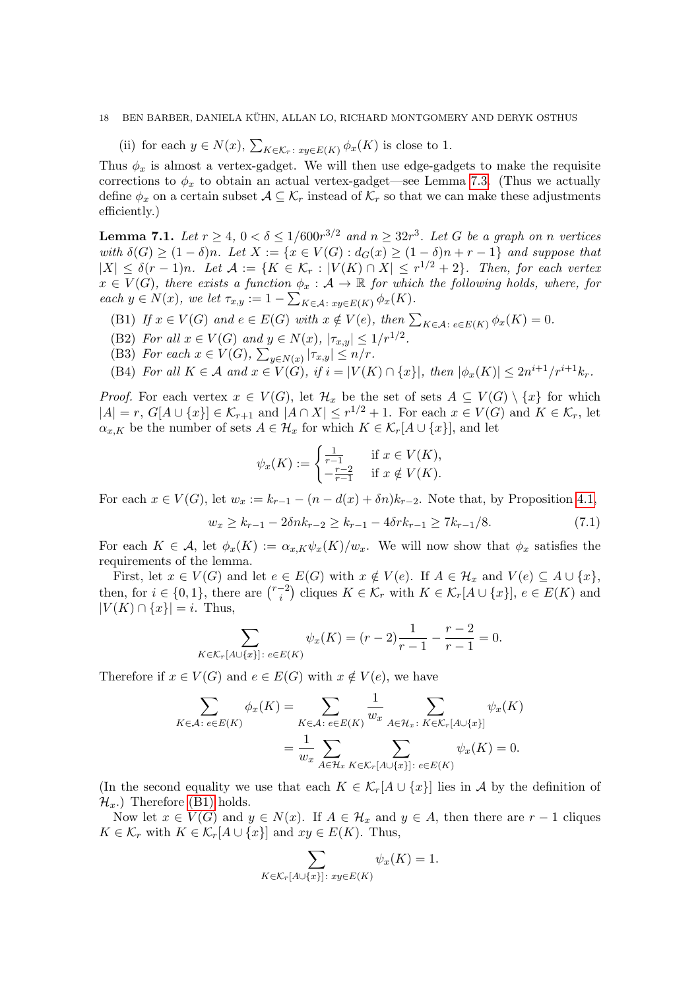#### 18 BEN BARBER, DANIELA KÜHN, ALLAN LO, RICHARD MONTGOMERY AND DERYK OSTHUS

(ii) for each  $y \in N(x)$ ,  $\sum_{K \in \mathcal{K}_r} x_{y \in E(K)} \phi_x(K)$  is close to 1.

Thus  $\phi_x$  is almost a vertex-gadget. We will then use edge-gadgets to make the requisite corrections to  $\phi_x$  to obtain an actual vertex-gadget—see Lemma [7.3.](#page-19-0) (Thus we actually define  $\phi_x$  on a certain subset  $\mathcal{A} \subseteq \mathcal{K}_r$  instead of  $\mathcal{K}_r$  so that we can make these adjustments efficiently.)

<span id="page-17-4"></span>**Lemma 7.1.** Let  $r \geq 4$ ,  $0 < \delta \leq 1/600r^{3/2}$  and  $n \geq 32r^3$ . Let G be a graph on n vertices with  $\delta(G) \geq (1 - \delta)n$ . Let  $X := \{x \in V(G) : d_G(x) \geq (1 - \delta)n + r - 1\}$  and suppose that  $|X| \leq \delta(r-1)n$ . Let  $\mathcal{A} := \{K \in \mathcal{K}_r : |V(K) \cap X| \leq r^{1/2} + 2\}$ . Then, for each vertex  $x \in V(G)$ , there exists a function  $\phi_x : A \to \mathbb{R}$  for which the following holds, where, for each  $y \in N(x)$ , we let  $\tau_{x,y} := 1 - \sum_{K \in \mathcal{A}: xy \in E(K)} \phi_x(K)$ .

- <span id="page-17-0"></span>(B1) If  $x \in V(G)$  and  $e \in E(G)$  with  $x \notin V(e)$ , then  $\sum_{K \in \mathcal{A}} e \in E(K) \phi_x(K) = 0$ .
- <span id="page-17-2"></span>(B2) For all  $x \in V(G)$  and  $y \in N(x)$ ,  $|\tau_{x,y}| \leq 1/r^{1/2}$ .
- <span id="page-17-3"></span>(B3) For each  $x \in V(G)$ ,  $\sum_{y \in N(x)} |\tau_{x,y}| \leq n/r$ .

<span id="page-17-5"></span>(B4) For all  $K \in \mathcal{A}$  and  $x \in V(G)$ , if  $i = |V(K) \cap \{x\}|$ , then  $|\phi_x(K)| \leq 2n^{i+1}/r^{i+1}k_r$ .

*Proof.* For each vertex  $x \in V(G)$ , let  $\mathcal{H}_x$  be the set of sets  $A \subseteq V(G) \setminus \{x\}$  for which  $|A| = r$ ,  $G[A \cup \{x\}] \in \mathcal{K}_{r+1}$  and  $|A \cap X| \leq r^{1/2} + 1$ . For each  $x \in V(G)$  and  $K \in \mathcal{K}_r$ , let  $\alpha_{x,K}$  be the number of sets  $A \in \mathcal{H}_x$  for which  $K \in \mathcal{K}_r[A \cup \{x\}]$ , and let

$$
\psi_x(K) := \begin{cases} \frac{1}{r-1} & \text{if } x \in V(K), \\ -\frac{r-2}{r-1} & \text{if } x \notin V(K). \end{cases}
$$

For each  $x \in V(G)$ , let  $w_x := k_{r-1} - (n - d(x) + \delta n)k_{r-2}$ . Note that, by Proposition [4.1,](#page-9-1)

<span id="page-17-1"></span>
$$
w_x \ge k_{r-1} - 2\delta n k_{r-2} \ge k_{r-1} - 4\delta r k_{r-1} \ge 7k_{r-1}/8. \tag{7.1}
$$

For each  $K \in \mathcal{A}$ , let  $\phi_x(K) := \alpha_{x,K} \psi_x(K)/w_x$ . We will now show that  $\phi_x$  satisfies the requirements of the lemma.

First, let  $x \in V(G)$  and let  $e \in E(G)$  with  $x \notin V(e)$ . If  $A \in \mathcal{H}_x$  and  $V(e) \subseteq A \cup \{x\}$ , then, for  $i \in \{0,1\}$ , there are  $\binom{r-2}{i}$  $\mathcal{K}^{-2}_{i}$  cliques  $K \in \mathcal{K}_r$  with  $K \in \mathcal{K}_r[A \cup \{x\}], e \in E(K)$  and  $|V(K) \cap \{x\}| = i$ . Thus,

$$
\sum_{K \in \mathcal{K}_r[A \cup \{x\}]: \, e \in E(K)} \psi_x(K) = (r-2)\frac{1}{r-1} - \frac{r-2}{r-1} = 0.
$$

Therefore if  $x \in V(G)$  and  $e \in E(G)$  with  $x \notin V(e)$ , we have

$$
\sum_{K \in \mathcal{A}: e \in E(K)} \phi_x(K) = \sum_{K \in \mathcal{A}: e \in E(K)} \frac{1}{w_x} \sum_{A \in \mathcal{H}_x: K \in \mathcal{K}_r[A \cup \{x\}]} \psi_x(K)
$$

$$
= \frac{1}{w_x} \sum_{A \in \mathcal{H}_x} \sum_{K \in \mathcal{K}_r[A \cup \{x\}]: e \in E(K)} \psi_x(K) = 0.
$$

(In the second equality we use that each  $K \in \mathcal{K}_r[A \cup \{x\}]$  lies in A by the definition of  $\mathcal{H}_x$ .) Therefore [\(B1\)](#page-17-0) holds.

Now let  $x \in V(G)$  and  $y \in N(x)$ . If  $A \in \mathcal{H}_x$  and  $y \in A$ , then there are  $r-1$  cliques  $K \in \mathcal{K}_r$  with  $K \in \mathcal{K}_r[A \cup \{x\}]$  and  $xy \in E(K)$ . Thus,

$$
\sum_{K \in \mathcal{K}_r[A \cup \{x\}]: xy \in E(K)} \psi_x(K) = 1.
$$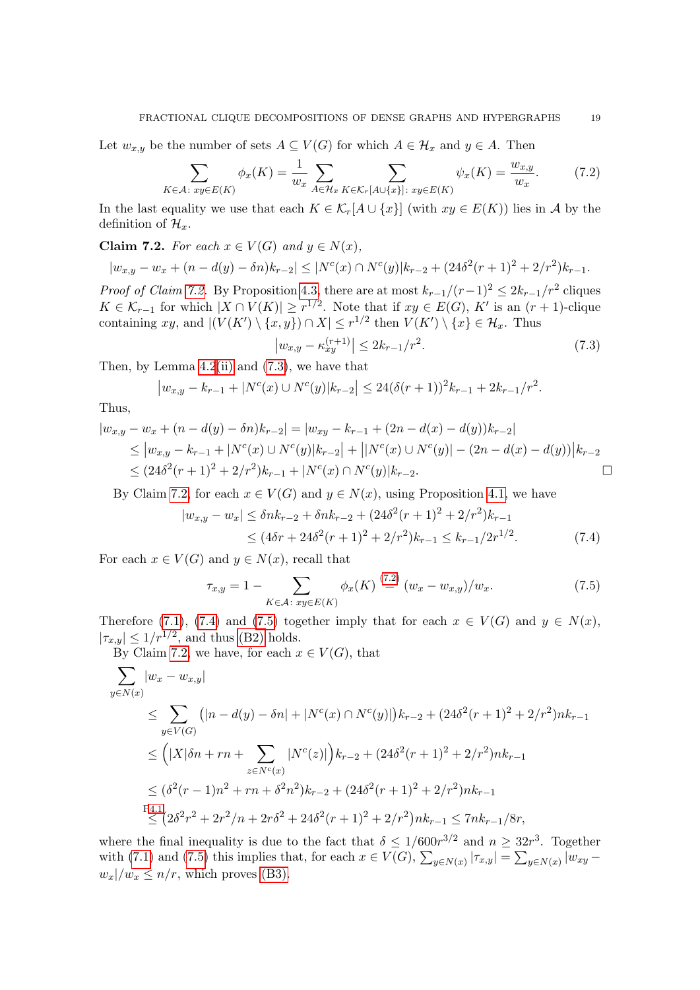Let  $w_{x,y}$  be the number of sets  $A \subseteq V(G)$  for which  $A \in \mathcal{H}_x$  and  $y \in A$ . Then

<span id="page-18-2"></span>
$$
\sum_{K \in \mathcal{A}: xy \in E(K)} \phi_x(K) = \frac{1}{w_x} \sum_{A \in \mathcal{H}_x} \sum_{K \in \mathcal{K}_r[A \cup \{x\}]: xy \in E(K)} \psi_x(K) = \frac{w_{x,y}}{w_x}.
$$
 (7.2)

In the last equality we use that each  $K \in \mathcal{K}_r[A \cup \{x\}]$  (with  $xy \in E(K)$ ) lies in A by the definition of  $\mathcal{H}_x$ .

<span id="page-18-0"></span>Claim 7.2. For each  $x \in V(G)$  and  $y \in N(x)$ ,

$$
|w_{x,y} - w_x + (n - d(y) - \delta n)k_{r-2}| \le |N^{c}(x) \cap N^{c}(y)|k_{r-2} + (24\delta^2(r+1)^2 + 2/r^2)k_{r-1}.
$$

*Proof of Claim [7.2.](#page-18-0)* By Proposition [4.3,](#page-11-2) there are at most  $k_{r-1}/(r-1)^2 \leq 2k_{r-1}/r^2$  cliques  $K \in \mathcal{K}_{r-1}$  for which  $|X \cap V(K)| \geq r^{1/2}$ . Note that if  $xy \in E(G)$ , K' is an  $(r+1)$ -clique containing xy, and  $|(V(K') \setminus \{x, y\}) \cap X| \leq r^{1/2}$  then  $V(K') \setminus \{x\} \in \mathcal{H}_x$ . Thus

<span id="page-18-3"></span><span id="page-18-1"></span>
$$
\left| w_{x,y} - \kappa_{xy}^{(r+1)} \right| \le 2k_{r-1}/r^2. \tag{7.3}
$$

Then, by Lemma  $4.2$ [\(ii\)](#page-10-1) and  $(7.3)$ , we have that

$$
|w_{x,y} - k_{r-1} + |N^{c}(x) \cup N^{c}(y)|k_{r-2}| \leq 24(\delta(r+1))^{2}k_{r-1} + 2k_{r-1}/r^{2}.
$$

Thus,

$$
|w_{x,y} - w_x + (n - d(y) - \delta n)k_{r-2}| = |w_{xy} - k_{r-1} + (2n - d(x) - d(y))k_{r-2}|
$$
  
\n
$$
\leq |w_{x,y} - k_{r-1} + |N^c(x) \cup N^c(y)|k_{r-2}| + |N^c(x) \cup N^c(y)| - (2n - d(x) - d(y))|k_{r-2}|
$$
  
\n
$$
\leq (24\delta^2(r+1)^2 + 2/r^2)k_{r-1} + |N^c(x) \cap N^c(y)|k_{r-2}.
$$

By Claim [7.2,](#page-18-0) for each  $x \in V(G)$  and  $y \in N(x)$ , using Proposition [4.1,](#page-9-1) we have

$$
|w_{x,y} - w_x| \le \delta n k_{r-2} + \delta n k_{r-2} + (24\delta^2 (r+1)^2 + 2/r^2) k_{r-1}
$$
  
 
$$
\le (4\delta r + 24\delta^2 (r+1)^2 + 2/r^2) k_{r-1} \le k_{r-1}/2r^{1/2}.
$$
 (7.4)

For each  $x \in V(G)$  and  $y \in N(x)$ , recall that

<span id="page-18-4"></span>
$$
\tau_{x,y} = 1 - \sum_{K \in \mathcal{A}: xy \in E(K)} \phi_x(K) \stackrel{(7.2)}{=} (w_x - w_{x,y})/w_x.
$$
 (7.5)

Therefore [\(7.1\)](#page-17-1), [\(7.4\)](#page-18-3) and [\(7.5\)](#page-18-4) together imply that for each  $x \in V(G)$  and  $y \in N(x)$ ,  $|\tau_{x,y}| \leq 1/r^{1/2}$ , and thus [\(B2\)](#page-17-2) holds.

By Claim [7.2,](#page-18-0) we have, for each  $x \in V(G)$ , that

$$
\sum_{y \in N(x)} |w_x - w_{x,y}|
$$
\n
$$
\leq \sum_{y \in V(G)} (|n - d(y) - \delta n| + |N^c(x) \cap N^c(y)|) k_{r-2} + (24\delta^2(r+1)^2 + 2/r^2) n k_{r-1}
$$
\n
$$
\leq (|X|\delta n + rn + \sum_{z \in N^c(x)} |N^c(z)|) k_{r-2} + (24\delta^2(r+1)^2 + 2/r^2) n k_{r-1}
$$
\n
$$
\leq (\delta^2(r-1)n^2 + rn + \delta^2 n^2) k_{r-2} + (24\delta^2(r+1)^2 + 2/r^2) n k_{r-1}
$$
\n
$$
\leq (2\delta^2 r^2 + 2r^2/n + 2r\delta^2 + 24\delta^2(r+1)^2 + 2/r^2) n k_{r-1} \leq 7nk_{r-1}/8r,
$$

where the final inequality is due to the fact that  $\delta \leq 1/600r^{3/2}$  and  $n \geq 32r^3$ . Together with [\(7.1\)](#page-17-1) and [\(7.5\)](#page-18-4) this implies that, for each  $x \in V(G)$ ,  $\sum_{y \in N(x)} |\tau_{x,y}| = \sum_{y \in N(x)} |w_{xy} - w_{xy}|$  $w_x|/w_x \leq n/r$ , which proves [\(B3\).](#page-17-3)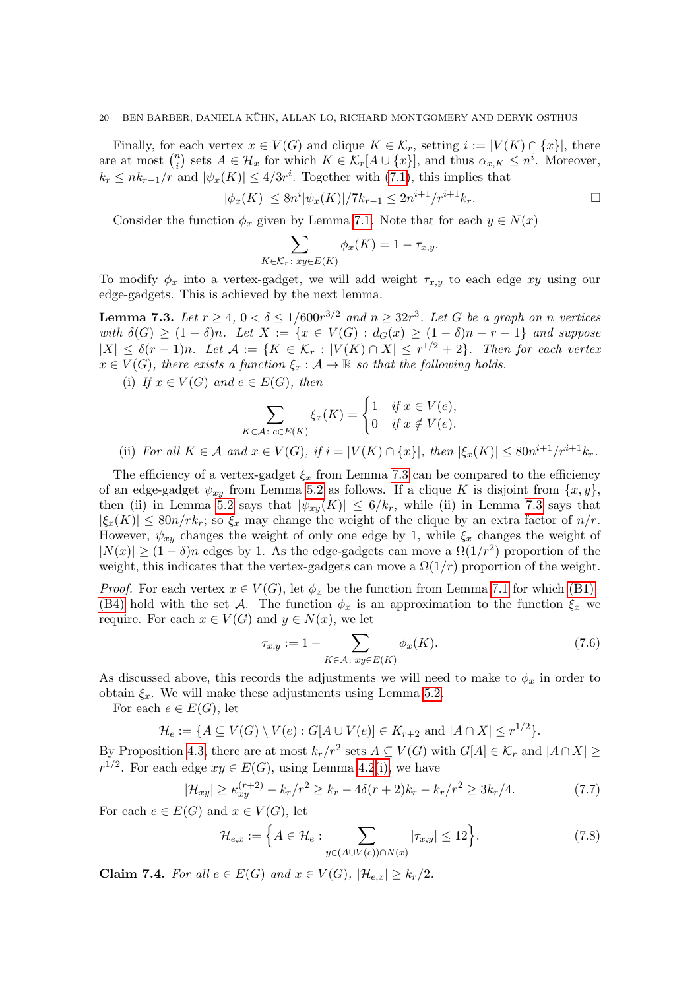#### 20 BEN BARBER, DANIELA KUHN, ALLAN LO, RICHARD MONTGOMERY AND DERYK OSTHUS ¨

Finally, for each vertex  $x \in V(G)$  and clique  $K \in \mathcal{K}_r$ , setting  $i := |V(K) \cap \{x\}|$ , there are at most  $\binom{n}{i}$  $\{a_i\}$  sets  $A \in \mathcal{H}_x$  for which  $K \in \mathcal{K}_r[A \cup \{x\}]$ , and thus  $\alpha_{x,K} \leq n^i$ . Moreover,  $k_r \leq nk_{r-1}/r$  and  $|\psi_x(K)| \leq 4/3r^i$ . Together with [\(7.1\)](#page-17-1), this implies that

$$
|\phi_x(K)| \le 8n^i |\psi_x(K)| / 7k_{r-1} \le 2n^{i+1}/r^{i+1}k_r.
$$

Consider the function  $\phi_x$  given by Lemma [7.1.](#page-17-4) Note that for each  $y \in N(x)$ 

$$
\sum_{K \in \mathcal{K}_r \colon xy \in E(K)} \phi_x(K) = 1 - \tau_{x,y}.
$$

To modify  $\phi_x$  into a vertex-gadget, we will add weight  $\tau_{x,y}$  to each edge xy using our edge-gadgets. This is achieved by the next lemma.

<span id="page-19-0"></span>**Lemma 7.3.** Let  $r \geq 4$ ,  $0 < \delta \leq 1/600r^{3/2}$  and  $n \geq 32r^3$ . Let G be a graph on n vertices with  $\delta(G) \geq (1-\delta)n$ . Let  $X := \{x \in V(G) : d_G(x) \geq (1-\delta)n + r - 1\}$  and suppose  $|X| \leq \delta(r-1)n$ . Let  $\mathcal{A} := \{K \in \mathcal{K}_r : |V(K) \cap X| \leq r^{1/2} + 2\}$ . Then for each vertex  $x \in V(G)$ , there exists a function  $\xi_x : A \to \mathbb{R}$  so that the following holds.

<span id="page-19-5"></span>(i) If  $x \in V(G)$  and  $e \in E(G)$ , then

$$
\sum_{K \in \mathcal{A}: e \in E(K)} \xi_x(K) = \begin{cases} 1 & \text{if } x \in V(e), \\ 0 & \text{if } x \notin V(e). \end{cases}
$$
  
(ii) For all  $K \in \mathcal{A}$  and  $x \in V(G)$ , if  $i = |V(K) \cap \{x\}|$ , then  $|\xi_x(K)| \le 80n^{i+1}/r^{i+1}k_r$ .

<span id="page-19-6"></span>The efficiency of a vertex-gadget  $\xi_x$  from Lemma [7.3](#page-19-0) can be compared to the efficiency of an edge-gadget  $\psi_{xy}$  from Lemma [5.2](#page-11-1) as follows. If a clique K is disjoint from  $\{x, y\}$ , then (ii) in Lemma [5.2](#page-11-1) says that  $|\psi_{xy}(K)| \leq 6/k_r$ , while (ii) in Lemma [7.3](#page-19-0) says that  $|\xi_x(K)| \leq 80n/rk_r$ ; so  $\xi_x$  may change the weight of the clique by an extra factor of  $n/r$ . However,  $\psi_{xy}$  changes the weight of only one edge by 1, while  $\xi_x$  changes the weight of  $|N(x)| \ge (1 - \delta)n$  edges by 1. As the edge-gadgets can move a  $\Omega(1/r^2)$  proportion of the weight, this indicates that the vertex-gadgets can move a  $\Omega(1/r)$  proportion of the weight.

*Proof.* For each vertex  $x \in V(G)$ , let  $\phi_x$  be the function from Lemma [7.1](#page-17-4) for which [\(B1\)–](#page-17-0) [\(B4\)](#page-17-5) hold with the set A. The function  $\phi_x$  is an approximation to the function  $\xi_x$  we require. For each  $x \in V(G)$  and  $y \in N(x)$ , we let

<span id="page-19-4"></span><span id="page-19-3"></span>
$$
\tau_{x,y} := 1 - \sum_{K \in \mathcal{A} \colon xy \in E(K)} \phi_x(K). \tag{7.6}
$$

As discussed above, this records the adjustments we will need to make to  $\phi_x$  in order to obtain  $\xi_x$ . We will make these adjustments using Lemma [5.2.](#page-11-1)

For each  $e \in E(G)$ , let

$$
\mathcal{H}_e := \{ A \subseteq V(G) \setminus V(e) : G[A \cup V(e)] \in K_{r+2} \text{ and } |A \cap X| \leq r^{1/2} \}.
$$

By Proposition [4.3,](#page-11-2) there are at most  $k_r/r^2$  sets  $A \subseteq V(G)$  with  $G[A] \in \mathcal{K}_r$  and  $|A \cap X| \geq$  $r^{1/2}$ . For each edge  $xy \in E(G)$ , using Lemma [4.2](#page-10-3)[\(i\),](#page-10-0) we have

$$
|\mathcal{H}_{xy}| \ge \kappa_{xy}^{(r+2)} - k_r/r^2 \ge k_r - 4\delta(r+2)k_r - k_r/r^2 \ge 3k_r/4.
$$
 (7.7)

For each  $e \in E(G)$  and  $x \in V(G)$ , let

<span id="page-19-2"></span>
$$
\mathcal{H}_{e,x} := \left\{ A \in \mathcal{H}_e : \sum_{y \in (A \cup V(e)) \cap N(x)} |\tau_{x,y}| \le 12 \right\}.
$$
\n(7.8)

<span id="page-19-1"></span>Claim 7.4. For all  $e \in E(G)$  and  $x \in V(G)$ ,  $|\mathcal{H}_{e,x}| \geq k_r/2$ .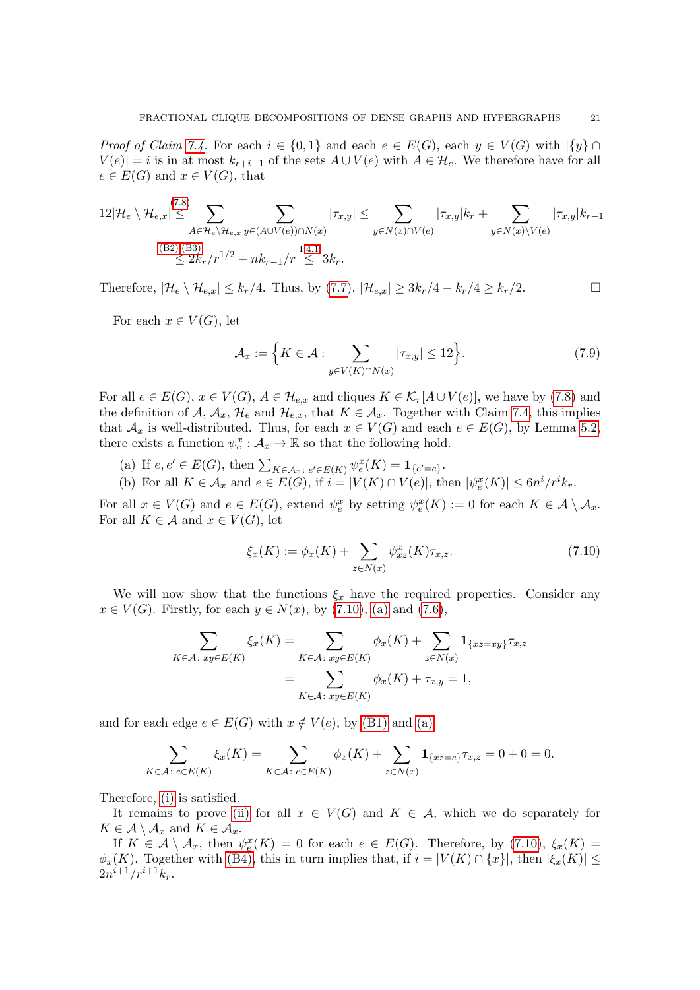*Proof of Claim [7.4.](#page-19-1)* For each  $i \in \{0,1\}$  and each  $e \in E(G)$ , each  $y \in V(G)$  with  $\{y\} \cap$  $V(e) = i$  is in at most  $k_{r+i-1}$  of the sets  $A \cup V(e)$  with  $A \in \mathcal{H}_e$ . We therefore have for all  $e \in E(G)$  and  $x \in V(G)$ , that

$$
12|\mathcal{H}_e \setminus \mathcal{H}_{e,x}| \leq \sum_{A \in \mathcal{H}_e \setminus \mathcal{H}_{e,x}} \sum_{y \in (A \cup V(e)) \cap N(x)} |\tau_{x,y}| \leq \sum_{y \in N(x) \cap V(e)} |\tau_{x,y}| k_r + \sum_{y \in N(x) \setminus V(e)} |\tau_{x,y}| k_{r-1}
$$
  
\n(B2),(B3)  
\n
$$
\leq 2k_r/r^{1/2} + nk_{r-1}/r \leq 3k_r.
$$

Therefore,  $|\mathcal{H}_e \setminus \mathcal{H}_{e,x}| \leq k_r/4$ . Thus, by [\(7.7\)](#page-19-3),  $|\mathcal{H}_{e,x}| \geq 3k_r/4 - k_r/4 \geq k_r/2$ .

For each  $x \in V(G)$ , let

<span id="page-20-3"></span>
$$
\mathcal{A}_x := \left\{ K \in \mathcal{A} : \sum_{y \in V(K) \cap N(x)} |\tau_{x,y}| \le 12 \right\}.
$$
\n(7.9)

For all  $e \in E(G)$ ,  $x \in V(G)$ ,  $A \in \mathcal{H}_{e,x}$  and cliques  $K \in \mathcal{K}_r[A \cup V(e)]$ , we have by [\(7.8\)](#page-19-2) and the definition of A,  $A_x$ ,  $\mathcal{H}_e$  and  $\mathcal{H}_{e,x}$ , that  $K \in \mathcal{A}_x$ . Together with Claim [7.4,](#page-19-1) this implies that  $\mathcal{A}_x$  is well-distributed. Thus, for each  $x \in V(G)$  and each  $e \in E(G)$ , by Lemma [5.2,](#page-11-1) there exists a function  $\psi_e^x : A_x \to \mathbb{R}$  so that the following hold.

- <span id="page-20-1"></span>(a) If  $e, e' \in E(G)$ , then  $\sum_{K \in \mathcal{A}_x \colon e' \in E(K)} \psi_e^x(K) = \mathbf{1}_{\{e' = e\}}$ .
- <span id="page-20-2"></span>(b) For all  $K \in \mathcal{A}_x$  and  $e \in E(G)$ , if  $i = |V(K) \cap V(e)|$ , then  $|\psi_e^x(K)| \leq 6n^i/r^i k_r$ .

For all  $x \in V(G)$  and  $e \in E(G)$ , extend  $\psi_e^x$  by setting  $\psi_e^x(K) := 0$  for each  $K \in \mathcal{A} \setminus \mathcal{A}_x$ . For all  $K \in \mathcal{A}$  and  $x \in V(G)$ , let

<span id="page-20-0"></span>
$$
\xi_x(K) := \phi_x(K) + \sum_{z \in N(x)} \psi_{xz}^x(K)\tau_{x,z}.
$$
\n(7.10)

We will now show that the functions  $\xi_x$  have the required properties. Consider any  $x \in V(G)$ . Firstly, for each  $y \in N(x)$ , by [\(7.10\)](#page-20-0), [\(a\)](#page-20-1) and [\(7.6\)](#page-19-4),

$$
\sum_{K \in \mathcal{A}: xy \in E(K)} \xi_x(K) = \sum_{K \in \mathcal{A}: xy \in E(K)} \phi_x(K) + \sum_{z \in N(x)} \mathbf{1}_{\{xz=xy\}} \tau_{x,z}
$$

$$
= \sum_{K \in \mathcal{A}: xy \in E(K)} \phi_x(K) + \tau_{x,y} = 1,
$$

and for each edge  $e \in E(G)$  with  $x \notin V(e)$ , by [\(B1\)](#page-17-0) and [\(a\),](#page-20-1)

$$
\sum_{K\in\mathcal{A}\colon e\in E(K)} \xi_x(K) = \sum_{K\in\mathcal{A}\colon e\in E(K)} \phi_x(K) + \sum_{z\in N(x)} \mathbf{1}_{\{xz=e\}} \tau_{x,z} = 0 + 0 = 0.
$$

Therefore, [\(i\)](#page-19-5) is satisfied.

It remains to prove [\(ii\)](#page-19-6) for all  $x \in V(G)$  and  $K \in \mathcal{A}$ , which we do separately for  $K \in \mathcal{A} \setminus \mathcal{A}_x$  and  $K \in \mathcal{A}_x$ .

If  $K \in \mathcal{A} \setminus \mathcal{A}_x$ , then  $\psi_e^x(K) = 0$  for each  $e \in E(G)$ . Therefore, by  $(7.10)$ ,  $\xi_x(K) =$  $\phi_x(K)$ . Together with [\(B4\),](#page-17-5) this in turn implies that, if  $i = |V(K) \cap \{x\}|$ , then  $|\xi_x(K)| \le$  $2n^{i+1}/r^{i+1}k_r$ .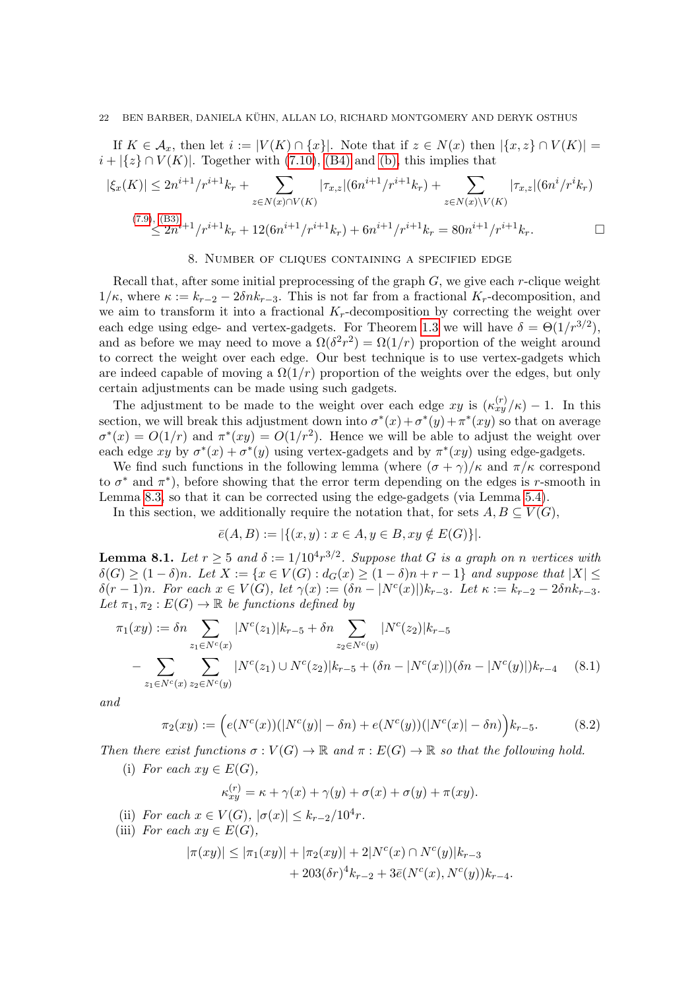If  $K \in \mathcal{A}_x$ , then let  $i := |V(K) \cap \{x\}|$ . Note that if  $z \in N(x)$  then  $|\{x, z\} \cap V(K)| =$  $i + |\{z\} \cap V(K)|$ . Together with [\(7.10\)](#page-20-0), [\(B4\)](#page-17-5) and [\(b\),](#page-20-2) this implies that

$$
|\xi_x(K)| \le 2n^{i+1}/r^{i+1}k_r + \sum_{z \in N(x) \cap V(K)} |\tau_{x,z}| (6n^{i+1}/r^{i+1}k_r) + \sum_{z \in N(x) \backslash V(K)} |\tau_{x,z}| (6n^i/r^i k_r)
$$
  

$$
\le 2n^{i+1}/r^{i+1}k_r + 12(6n^{i+1}/r^{i+1}k_r) + 6n^{i+1}/r^{i+1}k_r = 80n^{i+1}/r^{i+1}k_r.
$$

#### 8. Number of cliques containing a specified edge

<span id="page-21-0"></span>Recall that, after some initial preprocessing of the graph  $G$ , we give each r-clique weight  $1/\kappa$ , where  $\kappa := k_{r-2} - 2\delta n k_{r-3}$ . This is not far from a fractional  $K_r$ -decomposition, and we aim to transform it into a fractional  $K_r$ -decomposition by correcting the weight over each edge using edge- and vertex-gadgets. For Theorem [1.3](#page-1-2) we will have  $\delta = \Theta(1/r^{3/2})$ , and as before we may need to move a  $\Omega(\delta^2 r^2) = \Omega(1/r)$  proportion of the weight around to correct the weight over each edge. Our best technique is to use vertex-gadgets which are indeed capable of moving a  $\Omega(1/r)$  proportion of the weights over the edges, but only certain adjustments can be made using such gadgets.

The adjustment to be made to the weight over each edge  $xy$  is  $(\kappa_{xy}^{(r)}/\kappa) - 1$ . In this section, we will break this adjustment down into  $\sigma^*(x) + \sigma^*(y) + \pi^*(xy)$  so that on average  $\sigma^*(x) = O(1/r)$  and  $\pi^*(xy) = O(1/r^2)$ . Hence we will be able to adjust the weight over each edge xy by  $\sigma^*(x) + \sigma^*(y)$  using vertex-gadgets and by  $\pi^*(xy)$  using edge-gadgets.

We find such functions in the following lemma (where  $(\sigma + \gamma)/\kappa$  and  $\pi/\kappa$  correspond to  $\sigma^*$  and  $\pi^*$ ), before showing that the error term depending on the edges is r-smooth in Lemma [8.3,](#page-24-0) so that it can be corrected using the edge-gadgets (via Lemma [5.4\)](#page-13-0).

In this section, we additionally require the notation that, for sets  $A, B \subseteq V(G)$ ,

$$
\bar{e}(A, B) := |\{(x, y) : x \in A, y \in B, xy \notin E(G)\}|
$$

<span id="page-21-1"></span>**Lemma 8.1.** Let  $r \geq 5$  and  $\delta := 1/10^4 r^{3/2}$ . Suppose that G is a graph on n vertices with  $\delta(G) \geq (1-\delta)n$ . Let  $X := \{x \in V(G) : d_G(x) \geq (1-\delta)n + r - 1\}$  and suppose that  $|X| \leq$  $\delta(r-1)n$ . For each  $x \in V(G)$ , let  $\gamma(x) := (\delta n - |N^c(x)|)k_{r-3}$ . Let  $\kappa := k_{r-2} - 2\delta nk_{r-3}$ . Let  $\pi_1, \pi_2 : E(G) \to \mathbb{R}$  be functions defined by

$$
\pi_1(xy) := \delta n \sum_{z_1 \in N^c(x)} |N^c(z_1)| k_{r-5} + \delta n \sum_{z_2 \in N^c(y)} |N^c(z_2)| k_{r-5}
$$
  
 
$$
- \sum_{z_1 \in N^c(x)} \sum_{z_2 \in N^c(y)} |N^c(z_1) \cup N^c(z_2)| k_{r-5} + (\delta n - |N^c(x)|)(\delta n - |N^c(y)|) k_{r-4} \quad (8.1)
$$

and

$$
\pi_2(xy) := \left( e(N^c(x))(|N^c(y)| - \delta n) + e(N^c(y))(|N^c(x)| - \delta n) \right) k_{r-5}.
$$
 (8.2)

<span id="page-21-4"></span>Then there exist functions  $\sigma: V(G) \to \mathbb{R}$  and  $\pi: E(G) \to \mathbb{R}$  so that the following hold.

(i) For each  $xy \in E(G)$ ,

<span id="page-21-3"></span><span id="page-21-2"></span>
$$
\kappa_{xy}^{(r)} = \kappa + \gamma(x) + \gamma(y) + \sigma(x) + \sigma(y) + \pi(xy).
$$

- <span id="page-21-5"></span>(ii) For each  $x \in V(G)$ ,  $|\sigma(x)| \leq k_{r-2}/10^4 r$ .
- <span id="page-21-6"></span>(iii) For each  $xy \in E(G)$ ,

$$
|\pi(xy)| \le |\pi_1(xy)| + |\pi_2(xy)| + 2|N^c(x) \cap N^c(y)|k_{r-3}
$$
  
+ 203( $\delta r$ )<sup>4</sup>k<sub>r-2</sub> + 3 $\bar{e}$ ( $N^c(x)$ ,  $N^c(y)$ )k<sub>r-4</sub>.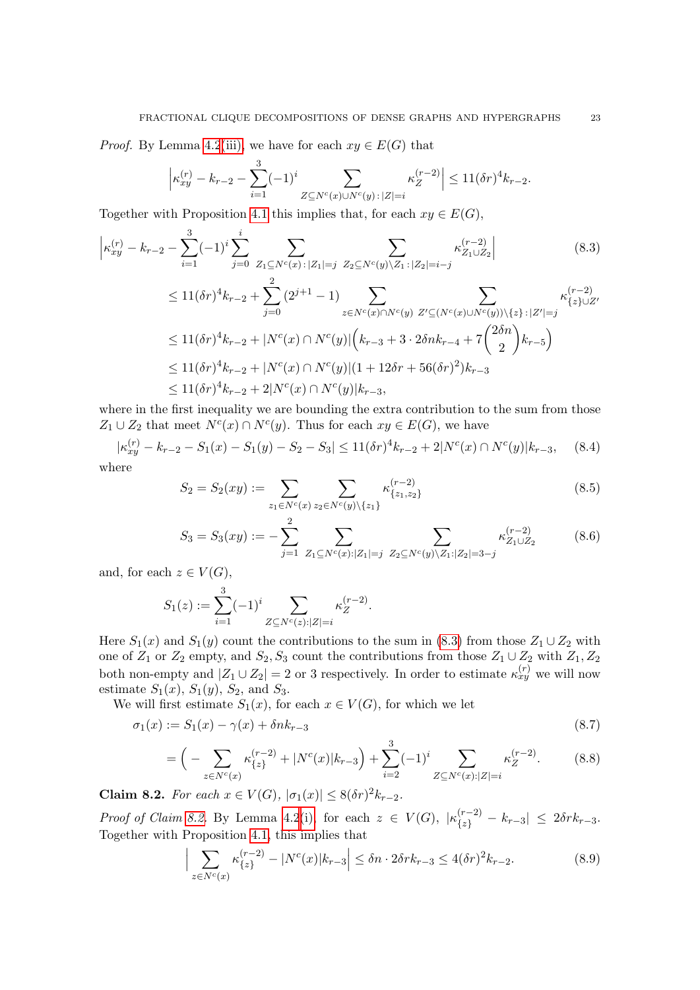*Proof.* By Lemma [4.2](#page-10-3)[\(iii\),](#page-10-4) we have for each  $xy \in E(G)$  that

<span id="page-22-0"></span>
$$
\left| \kappa_{xy}^{(r)} - k_{r-2} - \sum_{i=1}^3 (-1)^i \sum_{Z \subseteq N^c(x) \cup N^c(y) \, : \, |Z| = i} \kappa_Z^{(r-2)} \right| \le 11 (\delta r)^4 k_{r-2}.
$$

Together with Proposition [4.1](#page-9-1) this implies that, for each  $xy \in E(G)$ ,

$$
\begin{split}\n\left| \kappa_{xy}^{(r)} - k_{r-2} - \sum_{i=1}^{3} (-1)^i \sum_{j=0}^{i} \sum_{Z_1 \subseteq N^c(x) : |Z_1| = j} \sum_{Z_2 \subseteq N^c(y) \setminus Z_1 : |Z_2| = i - j} \kappa_{Z_1 \cup Z_2}^{(r-2)} \right] & (8.3) \\
&\leq 11(\delta r)^4 k_{r-2} + \sum_{j=0}^{2} (2^{j+1} - 1) \sum_{z \in N^c(x) \cap N^c(y)} \sum_{Z' \subseteq (N^c(x) \cup N^c(y)) \setminus \{z\} : |Z'| = j} \kappa_{\{z\} \cup Z'}^{(r-2)} \\
&\leq 11(\delta r)^4 k_{r-2} + |N^c(x) \cap N^c(y)| \left( k_{r-3} + 3 \cdot 2 \delta n k_{r-4} + 7 \binom{2 \delta n}{2} k_{r-5} \right) \\
&\leq 11(\delta r)^4 k_{r-2} + |N^c(x) \cap N^c(y)| (1 + 12 \delta r + 56(\delta r)^2) k_{r-3} \\
&\leq 11(\delta r)^4 k_{r-2} + 2|N^c(x) \cap N^c(y)| k_{r-3},\n\end{split}
$$
\n(8.3)

where in the first inequality we are bounding the extra contribution to the sum from those  $Z_1 \cup Z_2$  that meet  $N^c(x) \cap N^c(y)$ . Thus for each  $xy \in E(G)$ , we have

<span id="page-22-7"></span>
$$
|\kappa_{xy}^{(r)} - k_{r-2} - S_1(x) - S_1(y) - S_2 - S_3| \le 11(\delta r)^4 k_{r-2} + 2|N^c(x) \cap N^c(y)|k_{r-3}, \quad (8.4)
$$

where

<span id="page-22-4"></span>
$$
S_2 = S_2(xy) := \sum_{z_1 \in N^c(x)} \sum_{z_2 \in N^c(y) \setminus \{z_1\}} \kappa_{\{z_1, z_2\}}^{(r-2)} \tag{8.5}
$$

<span id="page-22-5"></span>
$$
S_3 = S_3(xy) := -\sum_{j=1}^2 \sum_{Z_1 \subseteq N^c(x): |Z_1| = j} \sum_{Z_2 \subseteq N^c(y) \setminus Z_1 : |Z_2| = 3 - j} \kappa_{Z_1 \cup Z_2}^{(r-2)} \tag{8.6}
$$

and, for each  $z \in V(G)$ ,

$$
S_1(z) := \sum_{i=1}^3 (-1)^i \sum_{Z \subseteq N^c(z): |Z| = i} \kappa_Z^{(r-2)}.
$$

Here  $S_1(x)$  and  $S_1(y)$  count the contributions to the sum in [\(8.3\)](#page-22-0) from those  $Z_1 \cup Z_2$  with one of  $Z_1$  or  $Z_2$  empty, and  $S_2, S_3$  count the contributions from those  $Z_1 \cup Z_2$  with  $Z_1, Z_2$ both non-empty and  $|Z_1 \cup Z_2| = 2$  or 3 respectively. In order to estimate  $\kappa_{xy}^{(r)}$  we will now estimate  $S_1(x)$ ,  $S_1(y)$ ,  $S_2$ , and  $S_3$ .

We will first estimate  $S_1(x)$ , for each  $x \in V(G)$ , for which we let

$$
\sigma_1(x) := S_1(x) - \gamma(x) + \delta n k_{r-3}
$$
\n(8.7)

<span id="page-22-6"></span>
$$
= \left(-\sum_{z \in N^{c}(x)} \kappa_{\{z\}}^{(r-2)} + |N^{c}(x)|k_{r-3}\right) + \sum_{i=2}^{3} (-1)^{i} \sum_{Z \subseteq N^{c}(x):|Z|=i} \kappa_{Z}^{(r-2)}.
$$
 (8.8)

<span id="page-22-1"></span>Claim 8.2. For each  $x \in V(G)$ ,  $|\sigma_1(x)| \leq 8(\delta r)^2 k_{r-2}$ .

*Proof of Claim [8.2.](#page-22-1)* By Lemma [4.2](#page-10-3)[\(i\),](#page-10-0) for each  $z \in V(G)$ ,  $|\kappa_{\{z\}}^{(r-2)} - k_{r-3}| \leq 2\delta rk_{r-3}$ . Together with Proposition [4.1,](#page-9-1) this implies that

<span id="page-22-3"></span><span id="page-22-2"></span>
$$
\Big| \sum_{z \in N^{c}(x)} \kappa_{\{z\}}^{(r-2)} - |N^{c}(x)| k_{r-3} \Big| \le \delta n \cdot 2\delta r k_{r-3} \le 4(\delta r)^{2} k_{r-2}.
$$
 (8.9)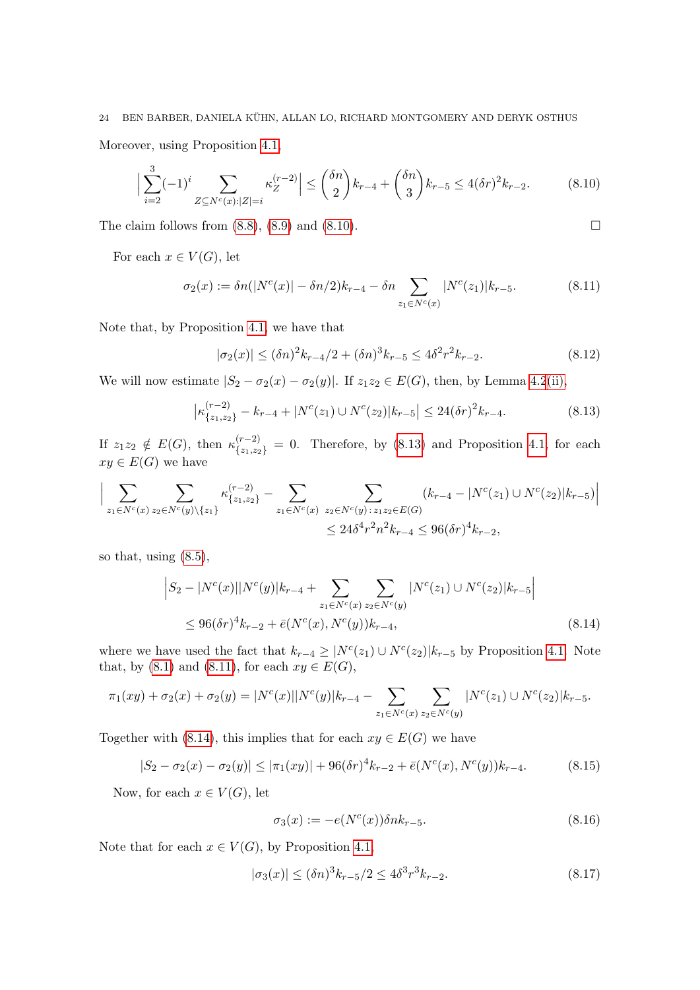# 24 BEN BARBER, DANIELA KUHN, ALLAN LO, RICHARD MONTGOMERY AND DERYK OSTHUS ¨

Moreover, using Proposition [4.1,](#page-9-1)

<span id="page-23-0"></span>
$$
\left| \sum_{i=2}^{3} (-1)^{i} \sum_{Z \subseteq N^{c}(x): |Z| = i} \kappa_{Z}^{(r-2)} \right| \leq {\delta n \choose 2} k_{r-4} + {\delta n \choose 3} k_{r-5} \leq 4(\delta r)^{2} k_{r-2}.
$$
 (8.10)

The claim follows from  $(8.8)$ ,  $(8.9)$  and  $(8.10)$ .

For each  $x \in V(G)$ , let

<span id="page-23-2"></span>
$$
\sigma_2(x) := \delta n(|N^c(x)| - \delta n/2)k_{r-4} - \delta n \sum_{z_1 \in N^c(x)} |N^c(z_1)|k_{r-5}.
$$
 (8.11)

Note that, by Proposition [4.1,](#page-9-1) we have that

<span id="page-23-5"></span>
$$
|\sigma_2(x)| \le (\delta n)^2 k_{r-4} / 2 + (\delta n)^3 k_{r-5} \le 4\delta^2 r^2 k_{r-2}.
$$
\n(8.12)

We will now estimate  $|S_2 - \sigma_2(x) - \sigma_2(y)|$ . If  $z_1z_2 \in E(G)$ , then, by Lemma [4.2](#page-10-3)[\(ii\),](#page-10-1)

<span id="page-23-1"></span>
$$
\left| \kappa_{\{z_1, z_2\}}^{(r-2)} - k_{r-4} + |N^c(z_1) \cup N^c(z_2)| k_{r-5} \right| \le 24(\delta r)^2 k_{r-4}.
$$
 (8.13)

If  $z_1z_2 \notin E(G)$ , then  $\kappa_{\{z_1,z_2\}}^{(r-2)} = 0$ . Therefore, by [\(8.13\)](#page-23-1) and Proposition [4.1,](#page-9-1) for each  $xy \in E(G)$  we have

$$
\Big| \sum_{z_1 \in N^c(x)} \sum_{z_2 \in N^c(y) \setminus \{z_1\}} \kappa_{\{z_1, z_2\}}^{(r-2)} - \sum_{z_1 \in N^c(x)} \sum_{z_2 \in N^c(y) : z_1 z_2 \in E(G)} (k_{r-4} - |N^c(z_1) \cup N^c(z_2)|k_{r-5}) \Big|
$$
  

$$
\leq 24\delta^4 r^2 n^2 k_{r-4} \leq 96(\delta r)^4 k_{r-2},
$$

so that, using [\(8.5\)](#page-22-4),

$$
\left| S_2 - |N^c(x)| |N^c(y)| k_{r-4} + \sum_{z_1 \in N^c(x)} \sum_{z_2 \in N^c(y)} |N^c(z_1) \cup N^c(z_2)| k_{r-5} \right|
$$
  
 
$$
\leq 96(\delta r)^4 k_{r-2} + \bar{e}(N^c(x), N^c(y)) k_{r-4}, \tag{8.14}
$$

where we have used the fact that  $k_{r-4} \geq |N^{c}(z_1) \cup N^{c}(z_2)|k_{r-5}$  by Proposition [4.1.](#page-9-1) Note that, by [\(8.1\)](#page-21-2) and [\(8.11\)](#page-23-2), for each  $xy \in E(G)$ ,

$$
\pi_1(xy) + \sigma_2(x) + \sigma_2(y) = |N^c(x)||N^c(y)|k_{r-4} - \sum_{z_1 \in N^c(x)} \sum_{z_2 \in N^c(y)} |N^c(z_1) \cup N^c(z_2)|k_{r-5}.
$$

Together with [\(8.14\)](#page-23-3), this implies that for each  $xy \in E(G)$  we have

$$
|S_2 - \sigma_2(x) - \sigma_2(y)| \le |\pi_1(xy)| + 96(\delta r)^4 k_{r-2} + \bar{e}(N^c(x), N^c(y))k_{r-4}.
$$
 (8.15)

Now, for each  $x \in V(G)$ , let

<span id="page-23-7"></span><span id="page-23-4"></span><span id="page-23-3"></span>
$$
\sigma_3(x) := -e(N^c(x))\delta nk_{r-5}.\tag{8.16}
$$

Note that for each  $x \in V(G)$ , by Proposition [4.1,](#page-9-1)

<span id="page-23-6"></span>
$$
|\sigma_3(x)| \le (\delta n)^3 k_{r-5} / 2 \le 4\delta^3 r^3 k_{r-2}.
$$
\n(8.17)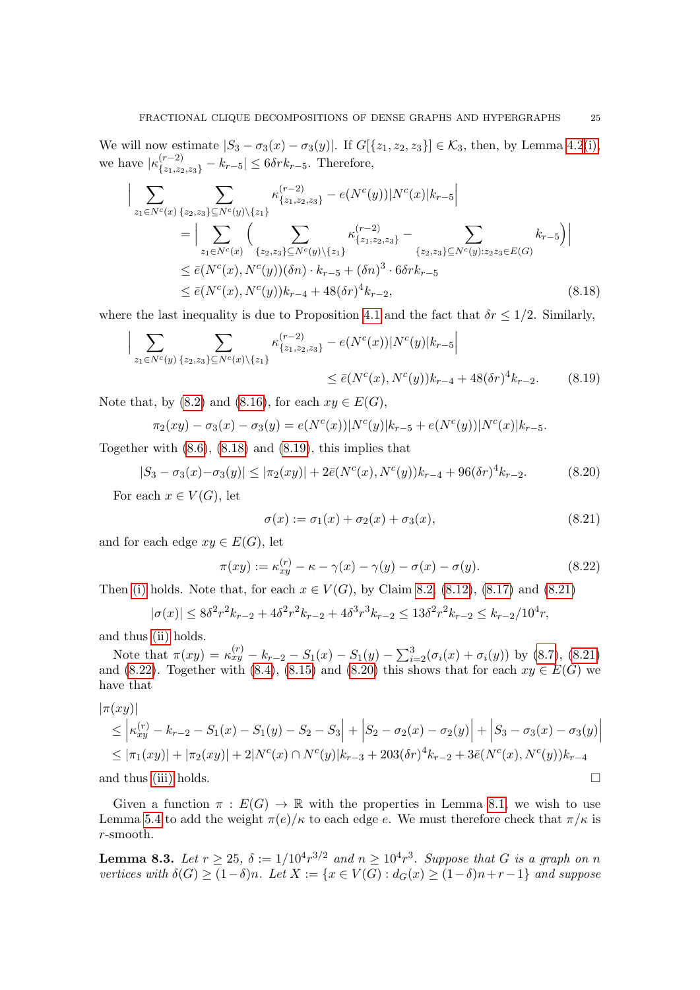We will now estimate  $|S_3 - \sigma_3(x) - \sigma_3(y)|$ . If  $G[{z_1, z_2, z_3}] \in \mathcal{K}_3$ , then, by Lemma [4.2](#page-10-3)[\(i\),](#page-10-0) we have  $|\kappa_{\{z_1,z_2,z_3\}}^{(r-2)} - k_{r-5}| \leq 6\delta rk_{r-5}$ . Therefore,

$$
\left| \sum_{z_1 \in N^c(x)} \sum_{\{z_2, z_3\} \subseteq N^c(y) \setminus \{z_1\}} \kappa_{\{z_1, z_2, z_3\}}^{(r-2)} - e(N^c(y)) |N^c(x)| k_{r-5} \right|
$$
\n
$$
= \left| \sum_{z_1 \in N^c(x)} \left( \sum_{\{z_2, z_3\} \subseteq N^c(y) \setminus \{z_1\}} \kappa_{\{z_1, z_2, z_3\}}^{(r-2)} - \sum_{\{z_2, z_3\} \subseteq N^c(y): z_2 z_3 \in E(G)} k_{r-5} \right) \right|
$$
\n
$$
\leq \bar{e}(N^c(x), N^c(y)) (\delta n) \cdot k_{r-5} + (\delta n)^3 \cdot 6 \delta r k_{r-5}
$$
\n
$$
\leq \bar{e}(N^c(x), N^c(y)) k_{r-4} + 48(\delta r)^4 k_{r-2}, \tag{8.18}
$$

where the last inequality is due to Proposition [4.1](#page-9-1) and the fact that  $\delta r \leq 1/2$ . Similarly,

$$
\Big| \sum_{z_1 \in N^c(y)} \sum_{\{z_2, z_3\} \subseteq N^c(x) \setminus \{z_1\}} \kappa_{\{z_1, z_2, z_3\}}^{(r-2)} - e(N^c(x)) |N^c(y)| k_{r-5} \Big|
$$
  
 
$$
\leq \bar{e}(N^c(x), N^c(y)) k_{r-4} + 48(\delta r)^4 k_{r-2}.
$$
 (8.19)

Note that, by [\(8.2\)](#page-21-3) and [\(8.16\)](#page-23-4), for each  $xy \in E(G)$ ,

$$
\pi_2(xy) - \sigma_3(x) - \sigma_3(y) = e(N^c(x))|N^c(y)|k_{r-5} + e(N^c(y))|N^c(x)|k_{r-5}.
$$

Together with  $(8.6)$ ,  $(8.18)$  and  $(8.19)$ , this implies that

$$
|S_3 - \sigma_3(x) - \sigma_3(y)| \le |\pi_2(xy)| + 2\bar{e}(N^c(x), N^c(y))k_{r-4} + 96(\delta r)^4 k_{r-2}.
$$
 (8.20)

For each  $x \in V(G)$ , let

<span id="page-24-5"></span><span id="page-24-3"></span>
$$
\sigma(x) := \sigma_1(x) + \sigma_2(x) + \sigma_3(x),\tag{8.21}
$$

and for each edge  $xy \in E(G)$ , let

<span id="page-24-4"></span>
$$
\pi(xy) := \kappa_{xy}^{(r)} - \kappa - \gamma(x) - \gamma(y) - \sigma(x) - \sigma(y). \tag{8.22}
$$

Then [\(i\)](#page-21-4) holds. Note that, for each  $x \in V(G)$ , by Claim [8.2,](#page-22-1) [\(8.12\)](#page-23-5), [\(8.17\)](#page-23-6) and [\(8.21\)](#page-24-3)

$$
|\sigma(x)| \le 8\delta^2 r^2 k_{r-2} + 4\delta^2 r^2 k_{r-2} + 4\delta^3 r^3 k_{r-2} \le 13\delta^2 r^2 k_{r-2} \le k_{r-2}/10^4 r,
$$

and thus [\(ii\)](#page-21-5) holds.

Note that  $\pi(xy) = \kappa_{xy}^{(r)} - k_{r-2} - S_1(x) - S_1(y) - \sum_{i=2}^3 (\sigma_i(x) + \sigma_i(y))$  by [\(8.7\)](#page-22-6), [\(8.21\)](#page-24-3) and [\(8.22\)](#page-24-4). Together with [\(8.4\)](#page-22-7), [\(8.15\)](#page-23-7) and [\(8.20\)](#page-24-5) this shows that for each  $xy \in E(G)$  we have that

$$
|\pi(xy)|
$$
  
\n
$$
\leq |\kappa_{xy}^{(r)} - k_{r-2} - S_1(x) - S_1(y) - S_2 - S_3| + |S_2 - \sigma_2(x) - \sigma_2(y)| + |S_3 - \sigma_3(x) - \sigma_3(y)|
$$
  
\n
$$
\leq |\pi_1(xy)| + |\pi_2(xy)| + 2|N^c(x) \cap N^c(y)|k_{r-3} + 203(\delta r)^4 k_{r-2} + 3\bar{e}(N^c(x), N^c(y))k_{r-4}
$$
  
\nand thus (iii) holds.

Given a function  $\pi : E(G) \to \mathbb{R}$  with the properties in Lemma [8.1,](#page-21-1) we wish to use Lemma [5.4](#page-13-0) to add the weight  $\pi(e)/\kappa$  to each edge e. We must therefore check that  $\pi/\kappa$  is r-smooth.

<span id="page-24-0"></span>**Lemma 8.3.** Let  $r \geq 25$ ,  $\delta := 1/10^4 r^{3/2}$  and  $n \geq 10^4 r^3$ . Suppose that G is a graph on n vertices with  $\delta(G) \geq (1-\delta)n$ . Let  $X := \{x \in V(G) : d_G(x) \geq (1-\delta)n + r - 1\}$  and suppose

<span id="page-24-2"></span><span id="page-24-1"></span>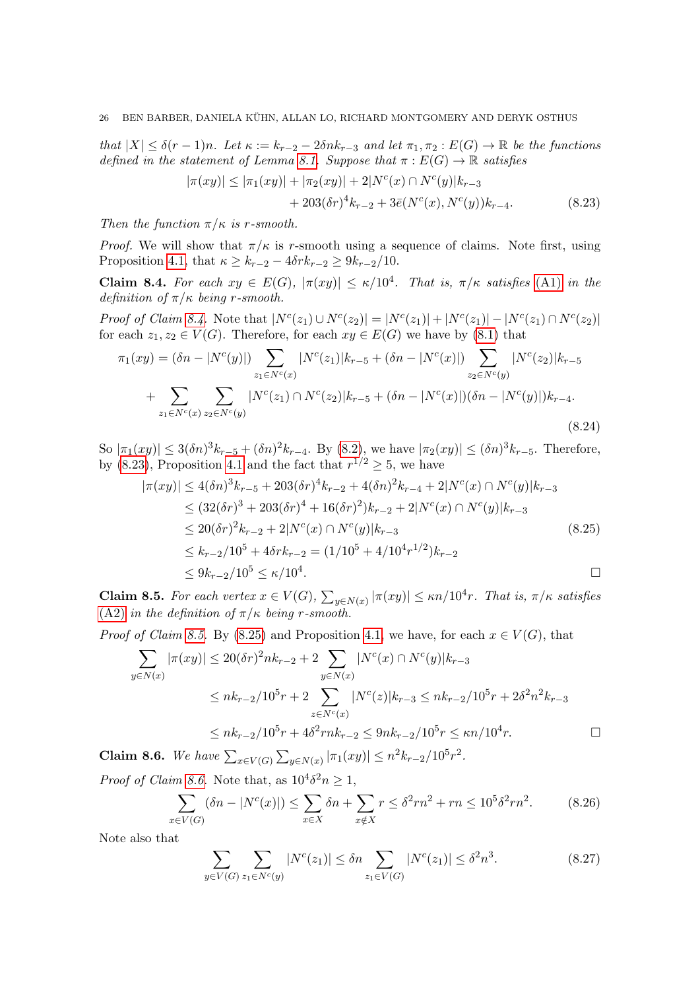that  $|X| \leq \delta(r-1)n$ . Let  $\kappa := k_{r-2} - 2\delta nk_{r-3}$  and let  $\pi_1, \pi_2 : E(G) \to \mathbb{R}$  be the functions defined in the statement of Lemma [8.1.](#page-21-1) Suppose that  $\pi : E(G) \to \mathbb{R}$  satisfies

<span id="page-25-1"></span>
$$
|\pi(xy)| \le |\pi_1(xy)| + |\pi_2(xy)| + 2|N^c(x) \cap N^c(y)|k_{r-3}
$$
  
+ 203( $\delta r$ )<sup>4</sup>k<sub>r-2</sub> + 3 $\bar{e}$ ( $N^c(x)$ ,  $N^c(y)$ )k<sub>r-4</sub>. (8.23)

Then the function  $\pi/\kappa$  is r-smooth.

*Proof.* We will show that  $\pi/\kappa$  is r-smooth using a sequence of claims. Note first, using Proposition [4.1,](#page-9-1) that  $\kappa \geq k_{r-2} - 4\delta rk_{r-2} \geq 9k_{r-2}/10$ .

<span id="page-25-0"></span>**Claim 8.4.** For each  $xy \in E(G)$ ,  $|\pi(xy)| \le \kappa/10^4$ . That is,  $\pi/\kappa$  satisfies [\(A1\)](#page-13-2) in the definition of  $\pi/\kappa$  being r-smooth.

Proof of Claim [8.4.](#page-25-0) Note that  $|N^{c}(z_1) \cup N^{c}(z_2)| = |N^{c}(z_1)| + |N^{c}(z_1)| - |N^{c}(z_1) \cap N^{c}(z_2)|$ for each  $z_1, z_2 \in V(G)$ . Therefore, for each  $xy \in E(G)$  we have by [\(8.1\)](#page-21-2) that

$$
\pi_1(xy) = (\delta n - |N^c(y)|) \sum_{z_1 \in N^c(x)} |N^c(z_1)| k_{r-5} + (\delta n - |N^c(x)|) \sum_{z_2 \in N^c(y)} |N^c(z_2)| k_{r-5} + \sum_{z_1 \in N^c(x)} \sum_{z_2 \in N^c(y)} |N^c(z_1) \cap N^c(z_2)| k_{r-5} + (\delta n - |N^c(x)|) (\delta n - |N^c(y)|) k_{r-4}.
$$
\n(8.24)

So  $|\pi_1(xy)| \leq 3(\delta n)^3 k_{r-5} + (\delta n)^2 k_{r-4}$ . By [\(8.2\)](#page-21-3), we have  $|\pi_2(xy)| \leq (\delta n)^3 k_{r-5}$ . Therefore, by [\(8.23\)](#page-25-1), Proposition [4.1](#page-9-1) and the fact that  $r^{1/2} \geq 5$ , we have

<span id="page-25-7"></span><span id="page-25-3"></span>
$$
|\pi(xy)| \le 4(\delta n)^3 k_{r-5} + 203(\delta r)^4 k_{r-2} + 4(\delta n)^2 k_{r-4} + 2|N^c(x) \cap N^c(y)|k_{r-3}
$$
  
\n
$$
\le (32(\delta r)^3 + 203(\delta r)^4 + 16(\delta r)^2)k_{r-2} + 2|N^c(x) \cap N^c(y)|k_{r-3}
$$
  
\n
$$
\le 20(\delta r)^2 k_{r-2} + 2|N^c(x) \cap N^c(y)|k_{r-3}
$$
  
\n
$$
\le k_{r-2}/10^5 + 4\delta r k_{r-2} = (1/10^5 + 4/10^4 r^{1/2})k_{r-2}
$$
  
\n
$$
\le 9k_{r-2}/10^5 \le \kappa/10^4.
$$

<span id="page-25-2"></span>**Claim 8.5.** For each vertex  $x \in V(G)$ ,  $\sum_{y \in N(x)} |\pi(xy)| \leq \kappa n/10^4 r$ . That is,  $\pi/\kappa$  satisfies [\(A2\)](#page-13-4) in the definition of  $\pi/\kappa$  being r-smooth.

*Proof of Claim [8.5.](#page-25-2)* By [\(8.25\)](#page-25-3) and Proposition [4.1,](#page-9-1) we have, for each  $x \in V(G)$ , that

$$
\sum_{y \in N(x)} |\pi(xy)| \le 20(\delta r)^2 n k_{r-2} + 2 \sum_{y \in N(x)} |N^c(x) \cap N^c(y)| k_{r-3}
$$
  

$$
\le n k_{r-2} / 10^5 r + 2 \sum_{z \in N^c(x)} |N^c(z)| k_{r-3} \le n k_{r-2} / 10^5 r + 2\delta^2 n^2 k_{r-3}
$$
  

$$
\le n k_{r-2} / 10^5 r + 4\delta^2 r n k_{r-2} \le 9 n k_{r-2} / 10^5 r \le \kappa n / 10^4 r.
$$

<span id="page-25-4"></span>Claim 8.6. We have  $\sum_{x \in V(G)} \sum_{y \in N(x)} |\pi_1(xy)| \leq n^2 k_{r-2}/10^5 r^2$ .

*Proof of Claim [8.6.](#page-25-4)* Note that, as  $10^4 \delta^2 n \ge 1$ ,

<span id="page-25-5"></span>
$$
\sum_{v \in V(G)} (\delta n - |N^c(x)|) \le \sum_{x \in X} \delta n + \sum_{x \notin X} r \le \delta^2 r n^2 + r n \le 10^5 \delta^2 r n^2. \tag{8.26}
$$

Note also that

 $\hat{x}$ 

<span id="page-25-6"></span>
$$
\sum_{y \in V(G)} \sum_{z_1 \in N^c(y)} |N^c(z_1)| \le \delta n \sum_{z_1 \in V(G)} |N^c(z_1)| \le \delta^2 n^3. \tag{8.27}
$$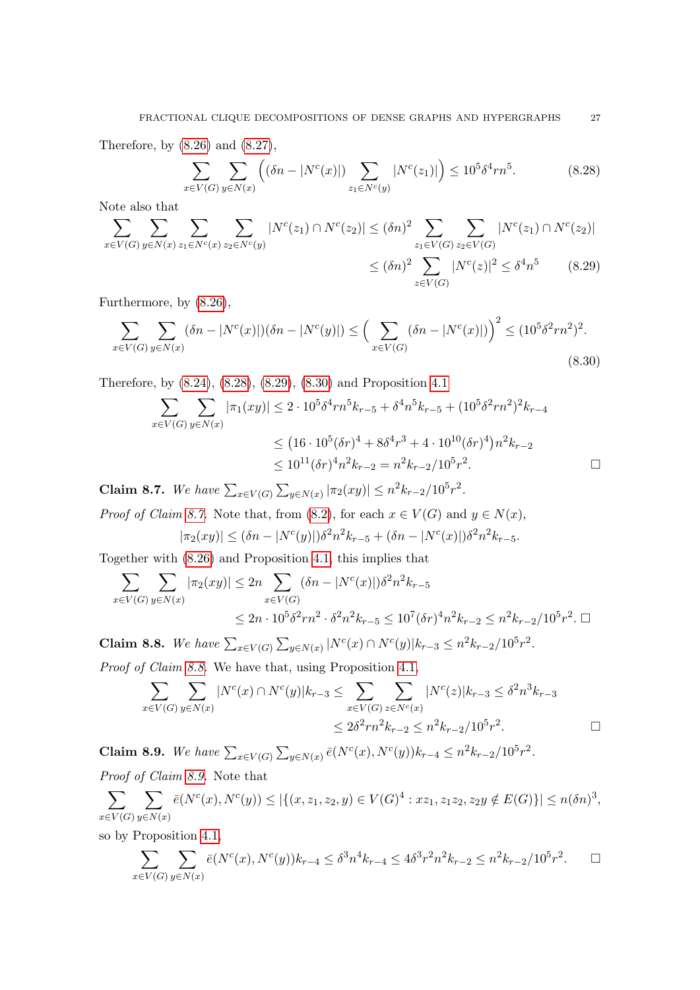Therefore, by [\(8.26\)](#page-25-5) and [\(8.27\)](#page-25-6),

$$
\sum_{x \in V(G)} \sum_{y \in N(x)} \left( (\delta n - |N^c(x)|) \sum_{z_1 \in N^c(y)} |N^c(z_1)| \right) \le 10^5 \delta^4 r n^5. \tag{8.28}
$$

Note also that

$$
\sum_{x \in V(G)} \sum_{y \in N(x)} \sum_{z_1 \in N^c(x)} \sum_{z_2 \in N^c(y)} |N^c(z_1) \cap N^c(z_2)| \le (\delta n)^2 \sum_{z_1 \in V(G)} \sum_{z_2 \in V(G)} |N^c(z_1) \cap N^c(z_2)|
$$
  
 
$$
\le (\delta n)^2 \sum_{z \in V(G)} |N^c(z)|^2 \le \delta^4 n^5 \qquad (8.29)
$$

Furthermore, by [\(8.26\)](#page-25-5),

$$
\sum_{x \in V(G)} \sum_{y \in N(x)} (\delta n - |N^c(x)|)(\delta n - |N^c(y)|) \le \left(\sum_{x \in V(G)} (\delta n - |N^c(x)|)\right)^2 \le (10^5 \delta^2 r n^2)^2.
$$
\n(8.30)

Therefore, by [\(8.24\)](#page-25-7), [\(8.28\)](#page-26-0), [\(8.29\)](#page-26-1), [\(8.30\)](#page-26-2) and Proposition [4.1](#page-9-1)

$$
\sum_{x \in V(G)} \sum_{y \in N(x)} |\pi_1(xy)| \le 2 \cdot 10^5 \delta^4 r n^5 k_{r-5} + \delta^4 n^5 k_{r-5} + (10^5 \delta^2 r n^2)^2 k_{r-4}
$$
  

$$
\le (16 \cdot 10^5 (\delta r)^4 + 8 \delta^4 r^3 + 4 \cdot 10^{10} (\delta r)^4) n^2 k_{r-2}
$$
  

$$
\le 10^{11} (\delta r)^4 n^2 k_{r-2} = n^2 k_{r-2} / 10^5 r^2.
$$

<span id="page-26-3"></span>Claim 8.7. We have  $\sum_{x \in V(G)} \sum_{y \in N(x)} |\pi_2(xy)| \leq n^2 k_{r-2}/10^5 r^2$ .

*Proof of Claim [8.7.](#page-26-3)* Note that, from [\(8.2\)](#page-21-3), for each  $x \in V(G)$  and  $y \in N(x)$ ,

$$
|\pi_2(xy)| \le (\delta n - |N^c(y)|)\delta^2 n^2 k_{r-5} + (\delta n - |N^c(x)|)\delta^2 n^2 k_{r-5}.
$$

Together with [\(8.26\)](#page-25-5) and Proposition [4.1,](#page-9-1) this implies that

$$
\sum_{x \in V(G)} \sum_{y \in N(x)} |\pi_2(xy)| \le 2n \sum_{x \in V(G)} (\delta n - |N^c(x)|) \delta^2 n^2 k_{r-5}
$$
  

$$
\le 2n \cdot 10^5 \delta^2 r n^2 \cdot \delta^2 n^2 k_{r-5} \le 10^7 (\delta r)^4 n^2 k_{r-2} \le n^2 k_{r-2} / 10^5 r^2. \Box
$$

<span id="page-26-4"></span>Claim 8.8. We have  $\sum_{x \in V(G)} \sum_{y \in N(x)} |N^c(x) \cap N^c(y)| k_{r-3} \leq n^2 k_{r-2}/10^5 r^2$ . Proof of Claim [8.8.](#page-26-4) We have that, using Proposition [4.1,](#page-9-1)

$$
\sum_{x \in V(G)} \sum_{y \in N(x)} |N^{c}(x) \cap N^{c}(y)| k_{r-3} \le \sum_{x \in V(G)} \sum_{z \in N^{c}(x)} |N^{c}(z)| k_{r-3} \le \delta^{2} n^{3} k_{r-3}
$$
  

$$
\le 2\delta^{2} r n^{2} k_{r-2} \le n^{2} k_{r-2} / 10^{5} r^{2}.
$$

<span id="page-26-5"></span>Claim 8.9. We have  $\sum_{x \in V(G)} \sum_{y \in N(x)} \bar{e}(N^c(x), N^c(y))k_{r-4} \leq n^2 k_{r-2}/10^5 r^2$ . Proof of Claim [8.9.](#page-26-5) Note that

$$
\sum_{x \in V(G)} \sum_{y \in N(x)} \bar{e}(N^c(x), N^c(y)) \le |\{(x, z_1, z_2, y) \in V(G)^4 : xz_1, z_1z_2, z_2y \notin E(G)\}| \le n(\delta n)^3,
$$

so by Proposition [4.1,](#page-9-1)

$$
\sum_{x \in V(G)} \sum_{y \in N(x)} \bar{e}(N^c(x), N^c(y)) k_{r-4} \leq \delta^3 n^4 k_{r-4} \leq 4\delta^3 r^2 n^2 k_{r-2} \leq n^2 k_{r-2} / 10^5 r^2. \quad \Box
$$

<span id="page-26-2"></span><span id="page-26-1"></span><span id="page-26-0"></span>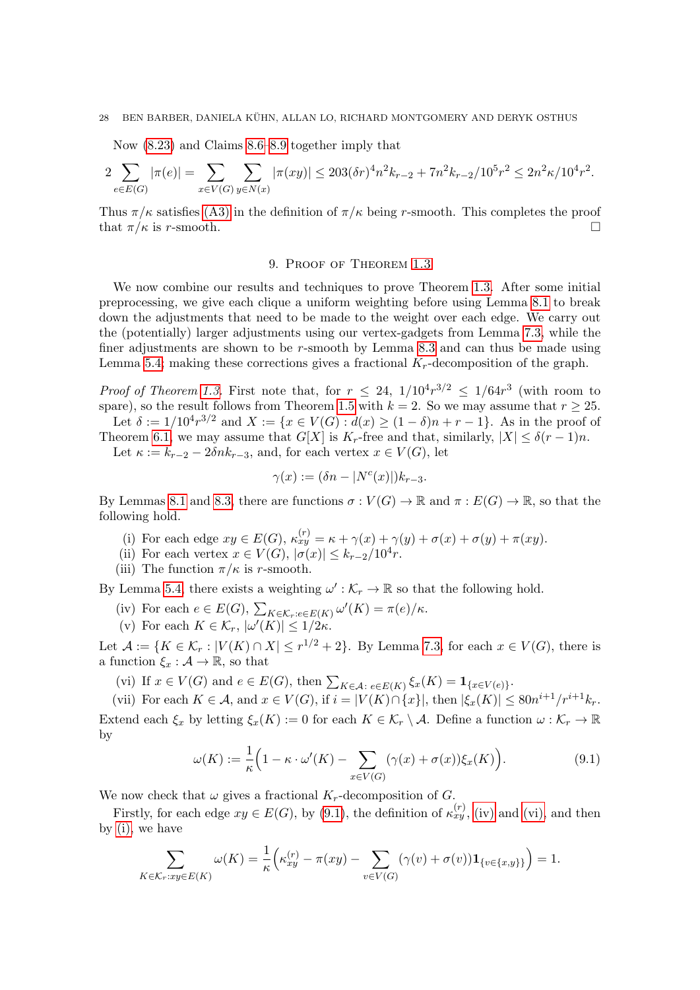#### 28 BEN BARBER, DANIELA KÜHN, ALLAN LO, RICHARD MONTGOMERY AND DERYK OSTHUS

Now [\(8.23\)](#page-25-1) and Claims [8.6–](#page-25-4)[8.9](#page-26-5) together imply that

$$
2\sum_{e \in E(G)} |\pi(e)| = \sum_{x \in V(G)} \sum_{y \in N(x)} |\pi(xy)| \leq 203(\delta r)^4 n^2 k_{r-2} + 7n^2 k_{r-2}/10^5 r^2 \leq 2n^2 \kappa/10^4 r^2.
$$

Thus  $\pi/\kappa$  satisfies [\(A3\)](#page-13-3) in the definition of  $\pi/\kappa$  being r-smooth. This completes the proof that  $\pi/\kappa$  is r-smooth.

## 9. Proof of Theorem [1.3](#page-1-2)

<span id="page-27-0"></span>We now combine our results and techniques to prove Theorem [1.3.](#page-1-2) After some initial preprocessing, we give each clique a uniform weighting before using Lemma [8.1](#page-21-1) to break down the adjustments that need to be made to the weight over each edge. We carry out the (potentially) larger adjustments using our vertex-gadgets from Lemma [7.3,](#page-19-0) while the finer adjustments are shown to be r-smooth by Lemma [8.3](#page-24-0) and can thus be made using Lemma [5.4;](#page-13-0) making these corrections gives a fractional  $K_r$ -decomposition of the graph.

*Proof of Theorem [1.3.](#page-1-2)* First note that, for  $r \leq 24$ ,  $1/10^4 r^{3/2} \leq 1/64r^3$  (with room to spare), so the result follows from Theorem [1.5](#page-2-0) with  $k = 2$ . So we may assume that  $r \geq 25$ .

Let  $\delta := 1/10^4 r^{3/2}$  and  $X := \{x \in V(G) : d(x) \ge (1 - \delta)n + r - 1\}$ . As in the proof of Theorem [6.1,](#page-15-0) we may assume that  $G[X]$  is  $K_r$ -free and that, similarly,  $|X| \leq \delta(r-1)n$ .

Let  $\kappa := k_{r-2} - 2\delta n k_{r-3}$ , and, for each vertex  $x \in V(G)$ , let

$$
\gamma(x) := (\delta n - |N^c(x)|)k_{r-3}.
$$

By Lemmas [8.1](#page-21-1) and [8.3,](#page-24-0) there are functions  $\sigma: V(G) \to \mathbb{R}$  and  $\pi: E(G) \to \mathbb{R}$ , so that the following hold.

- <span id="page-27-4"></span>(i) For each edge  $xy \in E(G)$ ,  $\kappa_{xy}^{(r)} = \kappa + \gamma(x) + \gamma(y) + \sigma(x) + \sigma(y) + \pi(xy)$ .
- <span id="page-27-5"></span>(ii) For each vertex  $x \in V(G)$ ,  $|\sigma(x)| \leq k_{r-2}/10^4r$ .
- (iii) The function  $\pi/\kappa$  is r-smooth.

By Lemma [5.4,](#page-13-0) there exists a weighting  $\omega': \mathcal{K}_r \to \mathbb{R}$  so that the following hold.

- <span id="page-27-2"></span>(iv) For each  $e \in E(G)$ ,  $\sum_{K \in \mathcal{K}_r: e \in E(K)} \omega'(K) = \pi(e)/\kappa$ .
- <span id="page-27-7"></span>(v) For each  $K \in \mathcal{K}_r$ ,  $|\omega'(K)| \leq 1/2\kappa$ .

Let  $\mathcal{A} := \{K \in \mathcal{K}_r : |V(K) \cap X| \leq r^{1/2} + 2\}$ . By Lemma [7.3,](#page-19-0) for each  $x \in V(G)$ , there is a function  $\xi_x : \mathcal{A} \to \mathbb{R}$ , so that

<span id="page-27-3"></span>(vi) If  $x \in V(G)$  and  $e \in E(G)$ , then  $\sum_{K \in \mathcal{A}} \sum_{e \in E(K)} \xi_x(K) = \mathbf{1}_{\{x \in V(e)\}}$ .

<span id="page-27-6"></span>(vii) For each  $K \in \mathcal{A}$ , and  $x \in V(G)$ , if  $i = |V(K) \cap \{x\}|$ , then  $|\xi_x(K)| \leq 80n^{i+1}/r^{i+1}k_r$ . Extend each  $\xi_x$  by letting  $\xi_x(K) := 0$  for each  $K \in \mathcal{K}_r \setminus \mathcal{A}$ . Define a function  $\omega : \mathcal{K}_r \to \mathbb{R}$ by

<span id="page-27-1"></span>
$$
\omega(K) := \frac{1}{\kappa} \Big( 1 - \kappa \cdot \omega'(K) - \sum_{x \in V(G)} (\gamma(x) + \sigma(x)) \xi_x(K) \Big). \tag{9.1}
$$

We now check that  $\omega$  gives a fractional  $K_r$ -decomposition of G.

Firstly, for each edge  $xy \in E(G)$ , by [\(9.1\)](#page-27-1), the definition of  $\kappa_{xy}^{(r)}$ , [\(iv\)](#page-27-2) and [\(vi\),](#page-27-3) and then by [\(i\),](#page-27-4) we have

$$
\sum_{K \in \mathcal{K}_r: xy \in E(K)} \omega(K) = \frac{1}{\kappa} \Big( \kappa_{xy}^{(r)} - \pi(xy) - \sum_{v \in V(G)} (\gamma(v) + \sigma(v)) \mathbf{1}_{\{v \in \{x, y\}\}} \Big) = 1.
$$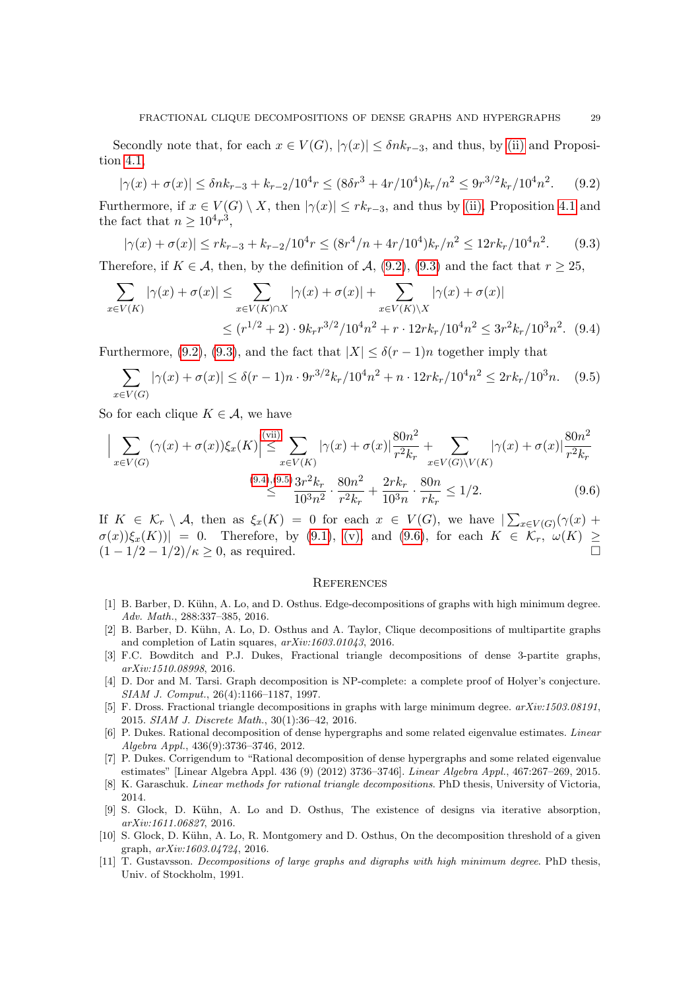Secondly note that, for each  $x \in V(G)$ ,  $|\gamma(x)| \leq \delta n k_{r-3}$ , and thus, by [\(ii\)](#page-27-5) and Proposition [4.1,](#page-9-1)

<span id="page-28-11"></span>
$$
|\gamma(x) + \sigma(x)| \le \delta n k_{r-3} + k_{r-2} / 10^4 r \le (8\delta r^3 + 4r/10^4) k_r / n^2 \le 9r^{3/2} k_r / 10^4 n^2. \tag{9.2}
$$

Furthermore, if  $x \in V(G) \setminus X$ , then  $|\gamma(x)| \leq rk_{r-3}$ , and thus by [\(ii\),](#page-27-5) Proposition [4.1](#page-9-1) and the fact that  $n \geq 10^4 r^3$ ,

<span id="page-28-12"></span>
$$
|\gamma(x) + \sigma(x)| \le r k_{r-3} + k_{r-2}/10^4 r \le (8r^4/n + 4r/10^4) k_r/n^2 \le 12r k_r/10^4 n^2. \tag{9.3}
$$

Therefore, if  $K \in \mathcal{A}$ , then, by the definition of  $\mathcal{A}$ , [\(9.2\)](#page-28-11), [\(9.3\)](#page-28-12) and the fact that  $r \geq 25$ .

$$
\sum_{x \in V(K)} |\gamma(x) + \sigma(x)| \leq \sum_{x \in V(K) \cap X} |\gamma(x) + \sigma(x)| + \sum_{x \in V(K) \setminus X} |\gamma(x) + \sigma(x)|
$$
  

$$
\leq (r^{1/2} + 2) \cdot 9k_r r^{3/2} / 10^4 n^2 + r \cdot 12r k_r / 10^4 n^2 \leq 3r^2 k_r / 10^3 n^2. \tag{9.4}
$$

Furthermore, [\(9.2\)](#page-28-11), [\(9.3\)](#page-28-12), and the fact that  $|X| \leq \delta(r-1)n$  together imply that

$$
\sum_{x \in V(G)} |\gamma(x) + \sigma(x)| \le \delta(r-1)n \cdot 9r^{3/2}k_r/10^4n^2 + n \cdot 12rk_r/10^4n^2 \le 2rk_r/10^3n. \tag{9.5}
$$

So for each clique  $K \in \mathcal{A}$ , we have

$$
\Big| \sum_{x \in V(G)} (\gamma(x) + \sigma(x)) \xi_x(K) \Big| \leq \sum_{x \in V(K)} |\gamma(x) + \sigma(x)| \frac{80n^2}{r^2 k_r} + \sum_{x \in V(G) \backslash V(K)} |\gamma(x) + \sigma(x)| \frac{80n^2}{r^2 k_r} \leq \frac{(9.4)(9.5)}{10^3 n^2} \cdot \frac{3r^2 k_r}{r^2 k_r} + \frac{30n^2}{10^3 n} \cdot \frac{80n}{r k_r} \leq 1/2. \tag{9.6}
$$

If  $K \in \mathcal{K}_r \setminus \mathcal{A}$ , then as  $\xi_x(K) = 0$  for each  $x \in V(G)$ , we have  $\sum_{x \in V(G)} (\gamma(x) +$  $\sigma(x)[\xi_x(K)] = 0$ . Therefore, by [\(9.1\)](#page-27-1), [\(v\),](#page-27-7) and [\(9.6\)](#page-28-15), for each  $K \in \overline{\mathcal{K}_r}$ ,  $\omega(K) \geq$  $(1 - 1/2 - 1/2)/\kappa \geq 0$ , as required.

#### <span id="page-28-15"></span><span id="page-28-14"></span><span id="page-28-13"></span>**REFERENCES**

- <span id="page-28-2"></span>[1] B. Barber, D. Kühn, A. Lo, and D. Osthus. Edge-decompositions of graphs with high minimum degree. Adv. Math., 288:337–385, 2016.
- <span id="page-28-9"></span>[2] B. Barber, D. Kühn, A. Lo, D. Osthus and A. Taylor, Clique decompositions of multipartite graphs and completion of Latin squares, arXiv:1603.01043, 2016.
- <span id="page-28-8"></span>[3] F.C. Bowditch and P.J. Dukes, Fractional triangle decompositions of dense 3-partite graphs, arXiv:1510.08998, 2016.
- <span id="page-28-0"></span>[4] D. Dor and M. Tarsi. Graph decomposition is NP-complete: a complete proof of Holyer's conjecture. SIAM J. Comput., 26(4):1166–1187, 1997.
- <span id="page-28-3"></span>[5] F. Dross. Fractional triangle decompositions in graphs with large minimum degree. arXiv:1503.08191, 2015. SIAM J. Discrete Math., 30(1):36–42, 2016.
- <span id="page-28-4"></span>[6] P. Dukes. Rational decomposition of dense hypergraphs and some related eigenvalue estimates. Linear Algebra Appl., 436(9):3736–3746, 2012.
- <span id="page-28-5"></span>[7] P. Dukes. Corrigendum to "Rational decomposition of dense hypergraphs and some related eigenvalue estimates" [Linear Algebra Appl. 436 (9) (2012) 3736–3746]. Linear Algebra Appl., 467:267–269, 2015.
- <span id="page-28-6"></span>[8] K. Garaschuk. Linear methods for rational triangle decompositions. PhD thesis, University of Victoria, 2014.
- <span id="page-28-10"></span>[9] S. Glock, D. K¨uhn, A. Lo and D. Osthus, The existence of designs via iterative absorption, arXiv:1611.06827, 2016.
- <span id="page-28-7"></span>[10] S. Glock, D. Kühn, A. Lo, R. Montgomery and D. Osthus, On the decomposition threshold of a given graph, arXiv:1603.04724, 2016.
- <span id="page-28-1"></span>[11] T. Gustavsson. *Decompositions of large graphs and digraphs with high minimum degree.* PhD thesis, Univ. of Stockholm, 1991.